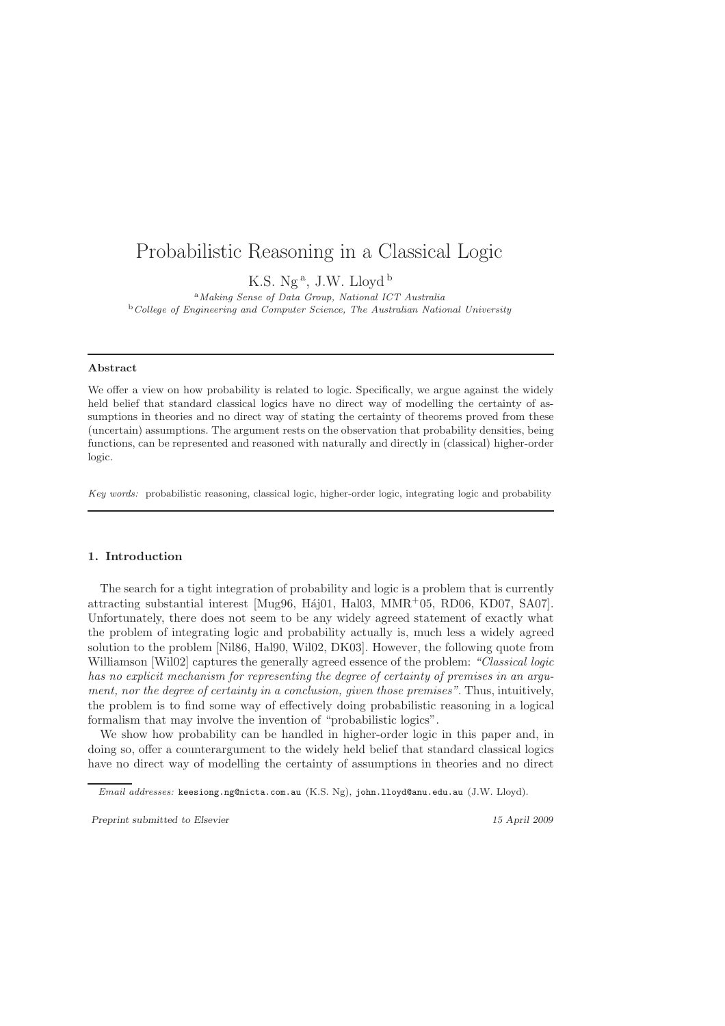# Probabilistic Reasoning in a Classical Logic

K.S. Ng<sup>a</sup>, J.W. Lloyd<sup>b</sup>

<sup>a</sup>Making Sense of Data Group, National ICT Australia <sup>b</sup>College of Engineering and Computer Science, The Australian National University

#### Abstract

We offer a view on how probability is related to logic. Specifically, we argue against the widely held belief that standard classical logics have no direct way of modelling the certainty of assumptions in theories and no direct way of stating the certainty of theorems proved from these (uncertain) assumptions. The argument rests on the observation that probability densities, being functions, can be represented and reasoned with naturally and directly in (classical) higher-order logic.

Key words: probabilistic reasoning, classical logic, higher-order logic, integrating logic and probability

#### 1. Introduction

The search for a tight integration of probability and logic is a problem that is currently attracting substantial interest [Mug96, Háj01, Hal03, MMR+05, RD06, KD07, SA07]. Unfortunately, there does not seem to be any widely agreed statement of exactly what the problem of integrating logic and probability actually is, much less a widely agreed solution to the problem [Nil86, Hal90, Wil02, DK03]. However, the following quote from Williamson [Wil02] captures the generally agreed essence of the problem: "Classical logic has no explicit mechanism for representing the degree of certainty of premises in an argument, nor the degree of certainty in a conclusion, given those premises". Thus, intuitively, the problem is to find some way of effectively doing probabilistic reasoning in a logical formalism that may involve the invention of "probabilistic logics".

We show how probability can be handled in higher-order logic in this paper and, in doing so, offer a counterargument to the widely held belief that standard classical logics have no direct way of modelling the certainty of assumptions in theories and no direct

Preprint submitted to Elsevier 15 April 2009

Email addresses: keesiong.ng@nicta.com.au (K.S. Ng), john.lloyd@anu.edu.au (J.W. Lloyd).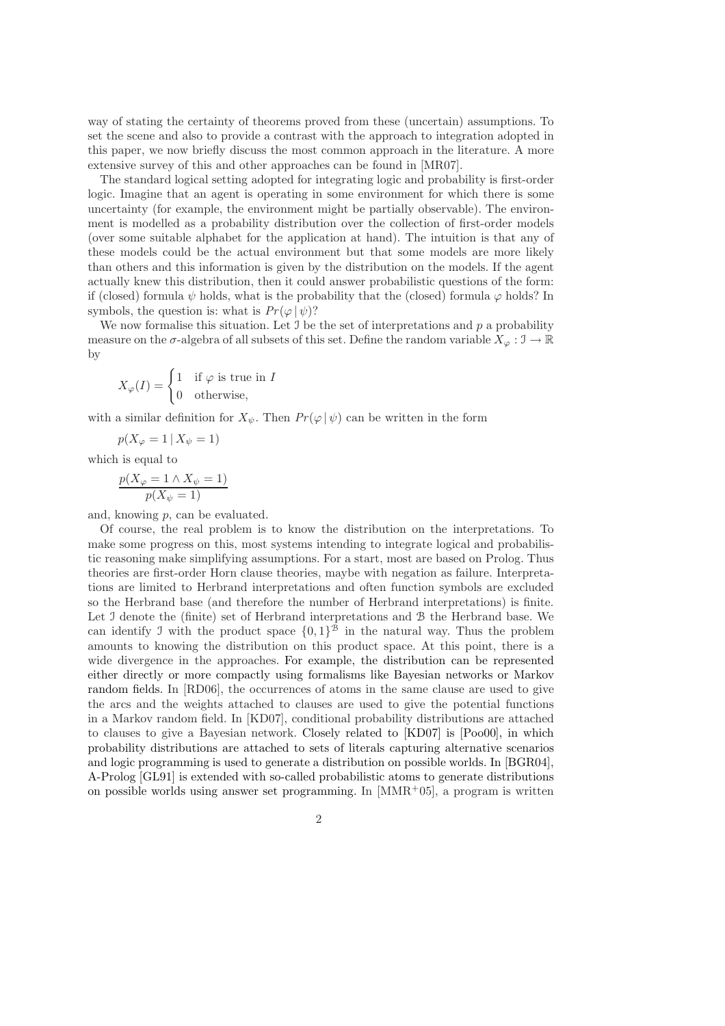way of stating the certainty of theorems proved from these (uncertain) assumptions. To set the scene and also to provide a contrast with the approach to integration adopted in this paper, we now briefly discuss the most common approach in the literature. A more extensive survey of this and other approaches can be found in [MR07].

The standard logical setting adopted for integrating logic and probability is first-order logic. Imagine that an agent is operating in some environment for which there is some uncertainty (for example, the environment might be partially observable). The environment is modelled as a probability distribution over the collection of first-order models (over some suitable alphabet for the application at hand). The intuition is that any of these models could be the actual environment but that some models are more likely than others and this information is given by the distribution on the models. If the agent actually knew this distribution, then it could answer probabilistic questions of the form: if (closed) formula  $\psi$  holds, what is the probability that the (closed) formula  $\varphi$  holds? In symbols, the question is: what is  $Pr(\varphi | \psi)$ ?

We now formalise this situation. Let  $\mathcal I$  be the set of interpretations and  $p$  a probability measure on the  $\sigma$ -algebra of all subsets of this set. Define the random variable  $X_{\varphi}: \mathcal{I} \to \mathbb{R}$ by

$$
X_{\varphi}(I) = \begin{cases} 1 & \text{if } \varphi \text{ is true in } I \\ 0 & \text{otherwise,} \end{cases}
$$

with a similar definition for  $X_{\psi}$ . Then  $Pr(\varphi | \psi)$  can be written in the form

$$
p(X_{\varphi} = 1 \,|\, X_{\psi} = 1)
$$

which is equal to

$$
\frac{p(X_{\varphi} = 1 \land X_{\psi} = 1)}{p(X_{\psi} = 1)}
$$

and, knowing p, can be evaluated.

Of course, the real problem is to know the distribution on the interpretations. To make some progress on this, most systems intending to integrate logical and probabilistic reasoning make simplifying assumptions. For a start, most are based on Prolog. Thus theories are first-order Horn clause theories, maybe with negation as failure. Interpretations are limited to Herbrand interpretations and often function symbols are excluded so the Herbrand base (and therefore the number of Herbrand interpretations) is finite. Let I denote the (finite) set of Herbrand interpretations and B the Herbrand base. We can identify J with the product space  $\{0,1\}^{\tilde{B}}$  in the natural way. Thus the problem amounts to knowing the distribution on this product space. At this point, there is a wide divergence in the approaches. For example, the distribution can be represented either directly or more compactly using formalisms like Bayesian networks or Markov random fields. In [RD06], the occurrences of atoms in the same clause are used to give the arcs and the weights attached to clauses are used to give the potential functions in a Markov random field. In [KD07], conditional probability distributions are attached to clauses to give a Bayesian network. Closely related to [KD07] is [Poo00], in which probability distributions are attached to sets of literals capturing alternative scenarios and logic programming is used to generate a distribution on possible worlds. In [BGR04], A-Prolog [GL91] is extended with so-called probabilistic atoms to generate distributions on possible worlds using answer set programming. In  $[MMR+05]$ , a program is written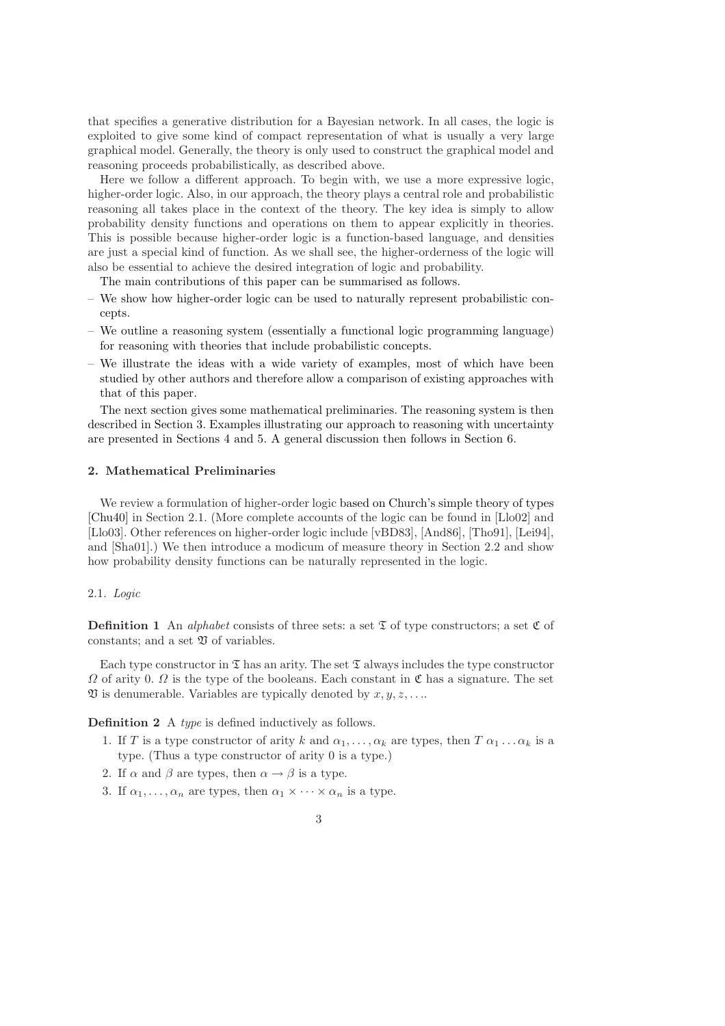that specifies a generative distribution for a Bayesian network. In all cases, the logic is exploited to give some kind of compact representation of what is usually a very large graphical model. Generally, the theory is only used to construct the graphical model and reasoning proceeds probabilistically, as described above.

Here we follow a different approach. To begin with, we use a more expressive logic, higher-order logic. Also, in our approach, the theory plays a central role and probabilistic reasoning all takes place in the context of the theory. The key idea is simply to allow probability density functions and operations on them to appear explicitly in theories. This is possible because higher-order logic is a function-based language, and densities are just a special kind of function. As we shall see, the higher-orderness of the logic will also be essential to achieve the desired integration of logic and probability.

The main contributions of this paper can be summarised as follows.

- We show how higher-order logic can be used to naturally represent probabilistic concepts.
- We outline a reasoning system (essentially a functional logic programming language) for reasoning with theories that include probabilistic concepts.
- We illustrate the ideas with a wide variety of examples, most of which have been studied by other authors and therefore allow a comparison of existing approaches with that of this paper.

The next section gives some mathematical preliminaries. The reasoning system is then described in Section 3. Examples illustrating our approach to reasoning with uncertainty are presented in Sections 4 and 5. A general discussion then follows in Section 6.

## 2. Mathematical Preliminaries

We review a formulation of higher-order logic based on Church's simple theory of types [Chu40] in Section 2.1. (More complete accounts of the logic can be found in [Llo02] and [Llo03]. Other references on higher-order logic include [vBD83], [And86], [Tho91], [Lei94], and [Sha01].) We then introduce a modicum of measure theory in Section 2.2 and show how probability density functions can be naturally represented in the logic.

#### 2.1. Logic

**Definition 1** An *alphabet* consists of three sets: a set  $\mathfrak{T}$  of type constructors; a set  $\mathfrak{C}$  of constants; and a set  $\mathfrak V$  of variables.

Each type constructor in  $\mathfrak T$  has an arity. The set  $\mathfrak T$  always includes the type constructor  $\Omega$  of arity 0.  $\Omega$  is the type of the booleans. Each constant in  $\mathfrak C$  has a signature. The set  $\mathfrak V$  is denumerable. Variables are typically denoted by  $x, y, z, \ldots$ 

Definition 2 A type is defined inductively as follows.

- 1. If T is a type constructor of arity k and  $\alpha_1, \ldots, \alpha_k$  are types, then  $T \alpha_1 \ldots \alpha_k$  is a type. (Thus a type constructor of arity 0 is a type.)
- 2. If  $\alpha$  and  $\beta$  are types, then  $\alpha \rightarrow \beta$  is a type.
- 3. If  $\alpha_1, \ldots, \alpha_n$  are types, then  $\alpha_1 \times \cdots \times \alpha_n$  is a type.
	- 3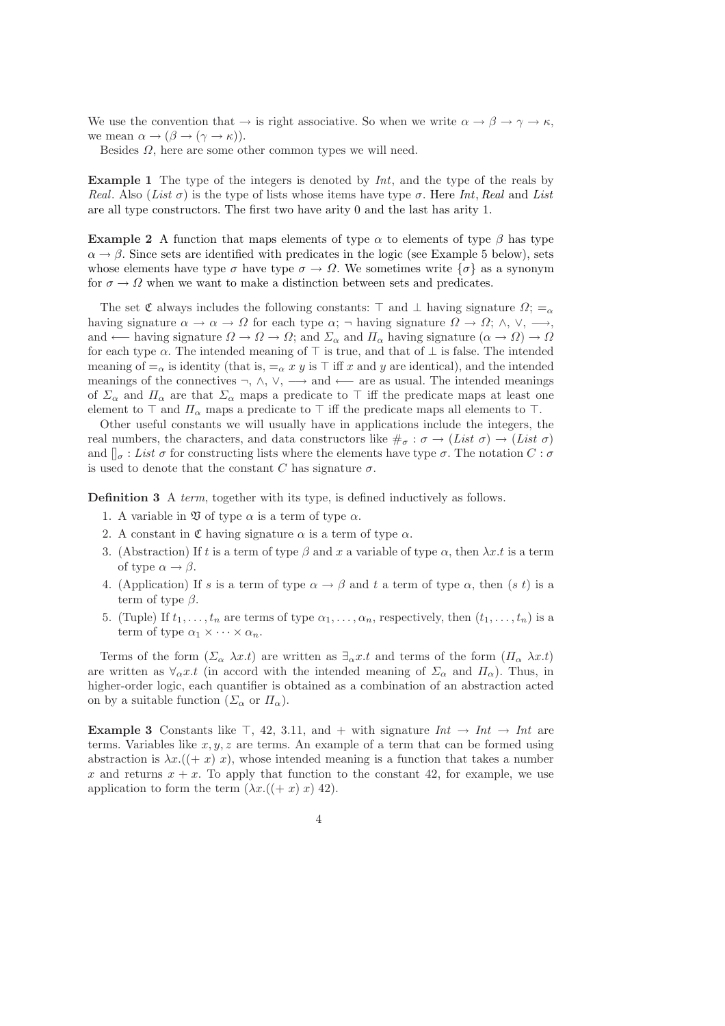We use the convention that  $\rightarrow$  is right associative. So when we write  $\alpha \rightarrow \beta \rightarrow \gamma \rightarrow \kappa$ , we mean  $\alpha \to (\beta \to (\gamma \to \kappa)).$ 

Besides  $\Omega$ , here are some other common types we will need.

**Example 1** The type of the integers is denoted by  $Int$ , and the type of the reals by Real. Also (List  $\sigma$ ) is the type of lists whose items have type  $\sigma$ . Here Int, Real and List are all type constructors. The first two have arity 0 and the last has arity 1.

**Example 2** A function that maps elements of type  $\alpha$  to elements of type  $\beta$  has type  $\alpha \rightarrow \beta$ . Since sets are identified with predicates in the logic (see Example 5 below), sets whose elements have type  $\sigma$  have type  $\sigma \to \Omega$ . We sometimes write  $\{\sigma\}$  as a synonym for  $\sigma \to \Omega$  when we want to make a distinction between sets and predicates.

The set  $\mathfrak C$  always includes the following constants:  $\top$  and  $\bot$  having signature  $\Omega$ ;  $=_{\alpha}$ having signature  $\alpha \to \alpha \to \Omega$  for each type  $\alpha$ ;  $\neg$  having signature  $\Omega \to \Omega$ ;  $\wedge$ ,  $\vee$ ,  $\longrightarrow$ , and ← having signature  $\Omega \to \Omega \to \Omega$ ; and  $\Sigma_{\alpha}$  and  $\Pi_{\alpha}$  having signature  $(\alpha \to \Omega) \to \Omega$ for each type  $\alpha$ . The intended meaning of ⊤ is true, and that of  $\perp$  is false. The intended meaning of  $=_{\alpha}$  is identity (that is,  $=_{\alpha} x y$  is  $\top$  iff x and y are identical), and the intended meanings of the connectives ¬, ∧, ∨, → and ← are as usual. The intended meanings of  $\Sigma_{\alpha}$  and  $\Pi_{\alpha}$  are that  $\Sigma_{\alpha}$  maps a predicate to ⊤ iff the predicate maps at least one element to ⊤ and  $\Pi_{\alpha}$  maps a predicate to ⊤ iff the predicate maps all elements to ⊤.

Other useful constants we will usually have in applications include the integers, the real numbers, the characters, and data constructors like  $\#_{\sigma} : \sigma \to (List \sigma) \to (List \sigma)$ and  $\left|\right|_{\sigma}$ : List  $\sigma$  for constructing lists where the elements have type  $\sigma$ . The notation  $C$ :  $\sigma$ is used to denote that the constant C has signature  $\sigma$ .

Definition 3 A term, together with its type, is defined inductively as follows.

- 1. A variable in  $\mathfrak V$  of type  $\alpha$  is a term of type  $\alpha$ .
- 2. A constant in  $\mathfrak C$  having signature  $\alpha$  is a term of type  $\alpha$ .
- 3. (Abstraction) If t is a term of type  $\beta$  and x a variable of type  $\alpha$ , then  $\lambda x.t$  is a term of type  $\alpha \rightarrow \beta$ .
- 4. (Application) If s is a term of type  $\alpha \to \beta$  and t a term of type  $\alpha$ , then (s t) is a term of type  $\beta$ .
- 5. (Tuple) If  $t_1, \ldots, t_n$  are terms of type  $\alpha_1, \ldots, \alpha_n$ , respectively, then  $(t_1, \ldots, t_n)$  is a term of type  $\alpha_1 \times \cdots \times \alpha_n$ .

Terms of the form  $(\Sigma_{\alpha} \lambda x.t)$  are written as  $\exists_{\alpha} x.t$  and terms of the form  $(\Pi_{\alpha} \lambda x.t)$ are written as  $\forall_{\alpha} x.t$  (in accord with the intended meaning of  $\Sigma_{\alpha}$  and  $\Pi_{\alpha}$ ). Thus, in higher-order logic, each quantifier is obtained as a combination of an abstraction acted on by a suitable function  $(\Sigma_{\alpha}$  or  $\Pi_{\alpha})$ .

Example 3 Constants like ⊤, 42, 3.11, and + with signature  $Int \rightarrow Int$  → Int are terms. Variables like  $x, y, z$  are terms. An example of a term that can be formed using abstraction is  $\lambda x. ((+ x) x)$ , whose intended meaning is a function that takes a number x and returns  $x + x$ . To apply that function to the constant 42, for example, we use application to form the term  $(\lambda x.((+ x) x) 42).$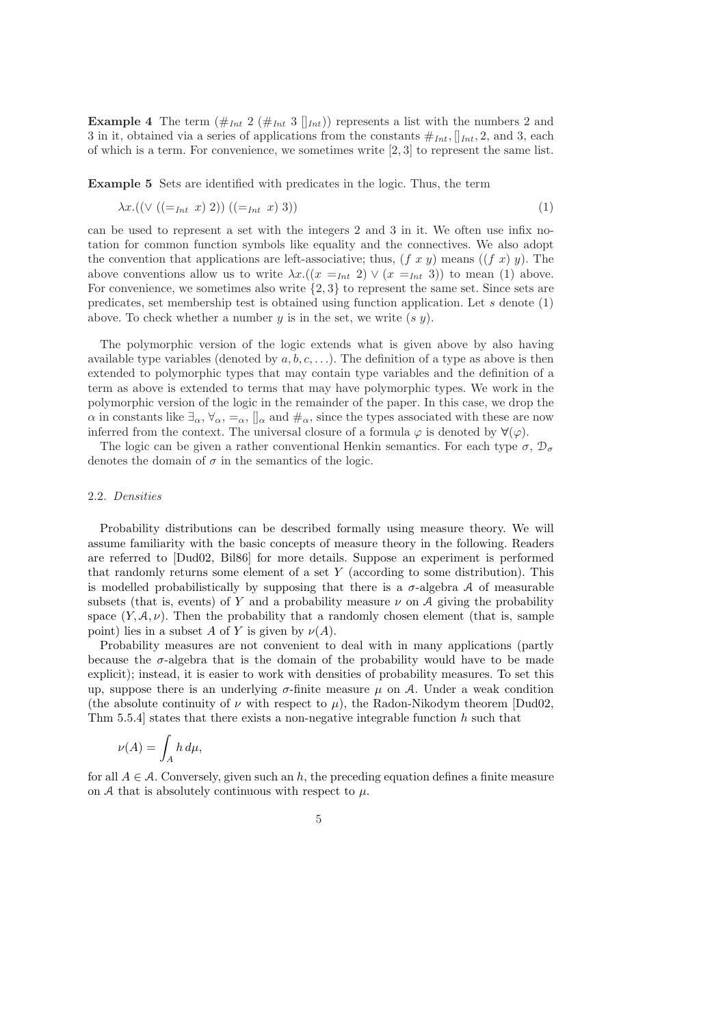**Example 4** The term  $(\#_{Int} 2 (\#_{Int} 3 ||_{Int}))$  represents a list with the numbers 2 and 3 in it, obtained via a series of applications from the constants  $\#_{Int}, \prod_{Int}, 2$ , and 3, each of which is a term. For convenience, we sometimes write  $[2,3]$  to represent the same list.

Example 5 Sets are identified with predicates in the logic. Thus, the term

$$
\lambda x. ((\vee ((=_{Int} x) 2)) ((=_{Int} x) 3))
$$
\n(1)

can be used to represent a set with the integers 2 and 3 in it. We often use infix notation for common function symbols like equality and the connectives. We also adopt the convention that applications are left-associative; thus,  $(f x y)$  means  $((f x) y)$ . The above conventions allow us to write  $\lambda x.((x =_{Int} 2) \vee (x =_{Int} 3))$  to mean (1) above. For convenience, we sometimes also write  $\{2,3\}$  to represent the same set. Since sets are predicates, set membership test is obtained using function application. Let s denote (1) above. To check whether a number  $y$  is in the set, we write  $(s, y)$ .

The polymorphic version of the logic extends what is given above by also having available type variables (denoted by  $a, b, c, \ldots$ ). The definition of a type as above is then extended to polymorphic types that may contain type variables and the definition of a term as above is extended to terms that may have polymorphic types. We work in the polymorphic version of the logic in the remainder of the paper. In this case, we drop the  $\alpha$  in constants like  $\exists_{\alpha}, \forall_{\alpha}, \exists_{\alpha}, \exists_{\alpha}$  and  $\#_{\alpha}$ , since the types associated with these are now inferred from the context. The universal closure of a formula  $\varphi$  is denoted by  $\forall(\varphi)$ .

The logic can be given a rather conventional Henkin semantics. For each type  $\sigma$ ,  $\mathcal{D}_{\sigma}$ denotes the domain of  $\sigma$  in the semantics of the logic.

#### 2.2. Densities

Probability distributions can be described formally using measure theory. We will assume familiarity with the basic concepts of measure theory in the following. Readers are referred to [Dud02, Bil86] for more details. Suppose an experiment is performed that randomly returns some element of a set Y (according to some distribution). This is modelled probabilistically by supposing that there is a  $\sigma$ -algebra A of measurable subsets (that is, events) of Y and a probability measure  $\nu$  on A giving the probability space  $(Y, A, \nu)$ . Then the probability that a randomly chosen element (that is, sample point) lies in a subset A of Y is given by  $\nu(A)$ .

Probability measures are not convenient to deal with in many applications (partly because the  $\sigma$ -algebra that is the domain of the probability would have to be made explicit); instead, it is easier to work with densities of probability measures. To set this up, suppose there is an underlying  $\sigma$ -finite measure  $\mu$  on A. Under a weak condition (the absolute continuity of  $\nu$  with respect to  $\mu$ ), the Radon-Nikodym theorem [Dud02, Thm 5.5.4] states that there exists a non-negative integrable function  $h$  such that

$$
\nu(A) = \int_A h \, d\mu,
$$

for all  $A \in \mathcal{A}$ . Conversely, given such an h, the preceding equation defines a finite measure on A that is absolutely continuous with respect to  $\mu$ .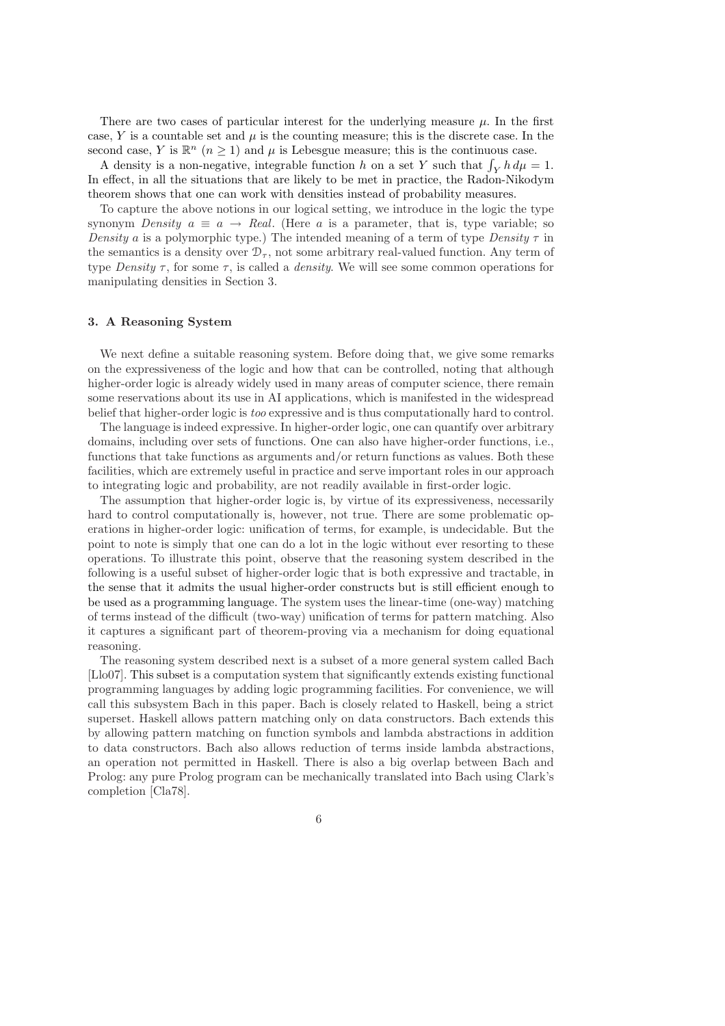There are two cases of particular interest for the underlying measure  $\mu$ . In the first case, Y is a countable set and  $\mu$  is the counting measure; this is the discrete case. In the second case, Y is  $\mathbb{R}^n$   $(n \geq 1)$  and  $\mu$  is Lebesgue measure; this is the continuous case.

A density is a non-negative, integrable function h on a set Y such that  $\int_Y h d\mu = 1$ . In effect, in all the situations that are likely to be met in practice, the Radon-Nikodym theorem shows that one can work with densities instead of probability measures.

To capture the above notions in our logical setting, we introduce in the logic the type synonym Density  $a \equiv a \rightarrow Real$ . (Here a is a parameter, that is, type variable; so Density a is a polymorphic type.) The intended meaning of a term of type Density  $\tau$  in the semantics is a density over  $\mathcal{D}_{\tau}$ , not some arbitrary real-valued function. Any term of type Density  $\tau$ , for some  $\tau$ , is called a *density*. We will see some common operations for manipulating densities in Section 3.

#### 3. A Reasoning System

We next define a suitable reasoning system. Before doing that, we give some remarks on the expressiveness of the logic and how that can be controlled, noting that although higher-order logic is already widely used in many areas of computer science, there remain some reservations about its use in AI applications, which is manifested in the widespread belief that higher-order logic is too expressive and is thus computationally hard to control.

The language is indeed expressive. In higher-order logic, one can quantify over arbitrary domains, including over sets of functions. One can also have higher-order functions, i.e., functions that take functions as arguments and/or return functions as values. Both these facilities, which are extremely useful in practice and serve important roles in our approach to integrating logic and probability, are not readily available in first-order logic.

The assumption that higher-order logic is, by virtue of its expressiveness, necessarily hard to control computationally is, however, not true. There are some problematic operations in higher-order logic: unification of terms, for example, is undecidable. But the point to note is simply that one can do a lot in the logic without ever resorting to these operations. To illustrate this point, observe that the reasoning system described in the following is a useful subset of higher-order logic that is both expressive and tractable, in the sense that it admits the usual higher-order constructs but is still efficient enough to be used as a programming language. The system uses the linear-time (one-way) matching of terms instead of the difficult (two-way) unification of terms for pattern matching. Also it captures a significant part of theorem-proving via a mechanism for doing equational reasoning.

The reasoning system described next is a subset of a more general system called Bach [Llo07]. This subset is a computation system that significantly extends existing functional programming languages by adding logic programming facilities. For convenience, we will call this subsystem Bach in this paper. Bach is closely related to Haskell, being a strict superset. Haskell allows pattern matching only on data constructors. Bach extends this by allowing pattern matching on function symbols and lambda abstractions in addition to data constructors. Bach also allows reduction of terms inside lambda abstractions, an operation not permitted in Haskell. There is also a big overlap between Bach and Prolog: any pure Prolog program can be mechanically translated into Bach using Clark's completion [Cla78].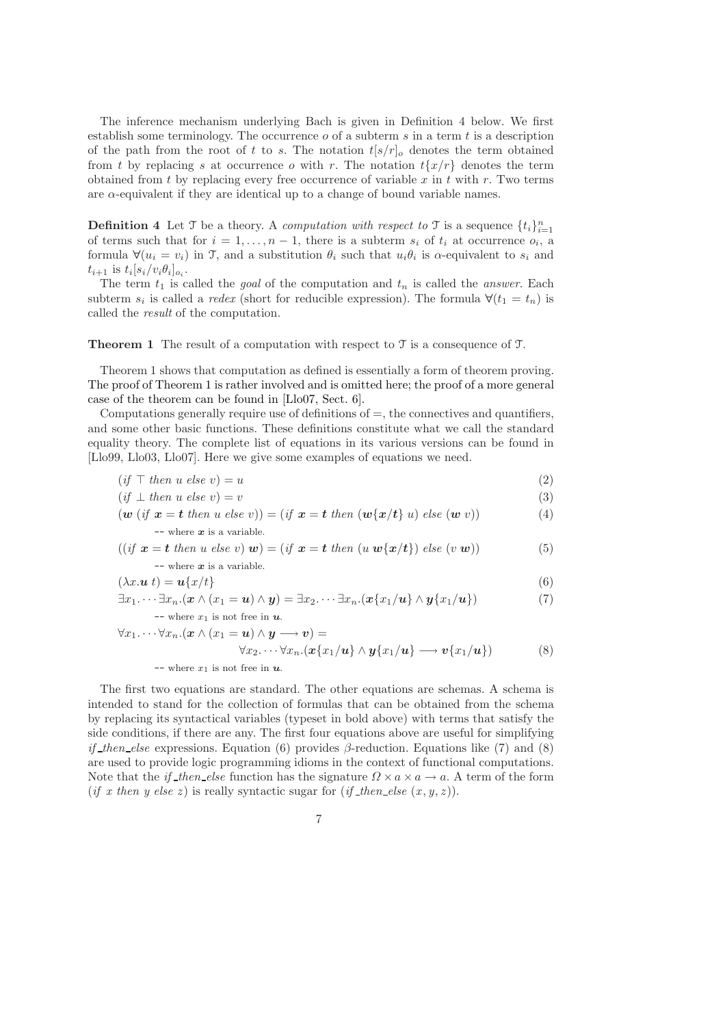The inference mechanism underlying Bach is given in Definition 4 below. We first establish some terminology. The occurrence  $o$  of a subterm  $s$  in a term  $t$  is a description of the path from the root of t to s. The notation  $t[s/r]_o$  denotes the term obtained from t by replacing s at occurrence o with r. The notation  $t\{x/r\}$  denotes the term obtained from t by replacing every free occurrence of variable  $x$  in  $t$  with  $r$ . Two terms are  $\alpha$ -equivalent if they are identical up to a change of bound variable names.

**Definition 4** Let  $\mathcal{T}$  be a theory. A *computation with respect to*  $\mathcal{T}$  is a sequence  $\{t_i\}_{i=1}^n$ of terms such that for  $i = 1, ..., n - 1$ , there is a subterm  $s_i$  of  $t_i$  at occurrence  $o_i$ , a formula  $\forall (u_i = v_i)$  in T, and a substitution  $\theta_i$  such that  $u_i \theta_i$  is  $\alpha$ -equivalent to  $s_i$  and  $t_{i+1}$  is  $t_i[s_i/v_i\theta_i]_{o_i}$ .

The term  $t_1$  is called the *goal* of the computation and  $t_n$  is called the *answer*. Each subterm  $s_i$  is called a *redex* (short for reducible expression). The formula  $\forall (t_1 = t_n)$  is called the result of the computation.

#### **Theorem 1** The result of a computation with respect to  $\mathcal{T}$  is a consequence of  $\mathcal{T}$ .

Theorem 1 shows that computation as defined is essentially a form of theorem proving. The proof of Theorem 1 is rather involved and is omitted here; the proof of a more general case of the theorem can be found in [Llo07, Sect. 6].

Computations generally require use of definitions of  $=$ , the connectives and quantifiers, and some other basic functions. These definitions constitute what we call the standard equality theory. The complete list of equations in its various versions can be found in [Llo99, Llo03, Llo07]. Here we give some examples of equations we need.

$$
(if \top then u else v) = u \tag{2}
$$

$$
(if \perp then \ u \ else \ v) = v \tag{3}
$$

$$
(\mathbf{w} (if \mathbf{x} = t then u else v)) = (if \mathbf{x} = t then (\mathbf{w}\{\mathbf{x}/t\} u) else (\mathbf{w} v))
$$
  
-- where **x** is a variable. (4)

$$
((if \; x = t \; then \; u \; else \; v) \; w) = (if \; x = t \; then \; (u \; w\{x/t\}) \; else \; (v \; w))
$$
\n
$$
\text{-- where } x \text{ is a variable.} \tag{5}
$$

$$
(\lambda x. \mathbf{u} \ t) = \mathbf{u}\{x/t\} \tag{6}
$$

$$
\exists x_1 \cdots \exists x_n . (\boldsymbol{x} \wedge (x_1 = \boldsymbol{u}) \wedge \boldsymbol{y}) = \exists x_2 \cdots \exists x_n . (\boldsymbol{x} \{x_1/\boldsymbol{u}\} \wedge \boldsymbol{y} \{x_1/\boldsymbol{u}\})
$$
\n
$$
\vdots
$$
\n
$$
\neg \text{ where } x_1 \text{ is not free in } \boldsymbol{u}.
$$
\n
$$
(7)
$$

 $\forall x_1 \ldots \forall x_n . (x \wedge (x_1 = u) \wedge y \longrightarrow v) =$ 

$$
\forall x_2 \dots \forall x_n . (x\{x_1/u\} \land y\{x_1/u\} \longrightarrow v\{x_1/u\})
$$
 (8)

-- where  $x_1$  is not free in  $u$ .

The first two equations are standard. The other equations are schemas. A schema is intended to stand for the collection of formulas that can be obtained from the schema by replacing its syntactical variables (typeset in bold above) with terms that satisfy the side conditions, if there are any. The first four equations above are useful for simplifying if then else expressions. Equation (6) provides  $\beta$ -reduction. Equations like (7) and (8) are used to provide logic programming idioms in the context of functional computations. Note that the if-then-else function has the signature  $\Omega \times a \times a \to a$ . A term of the form (if x then y else z) is really syntactic sugar for (if then else  $(x, y, z)$ ).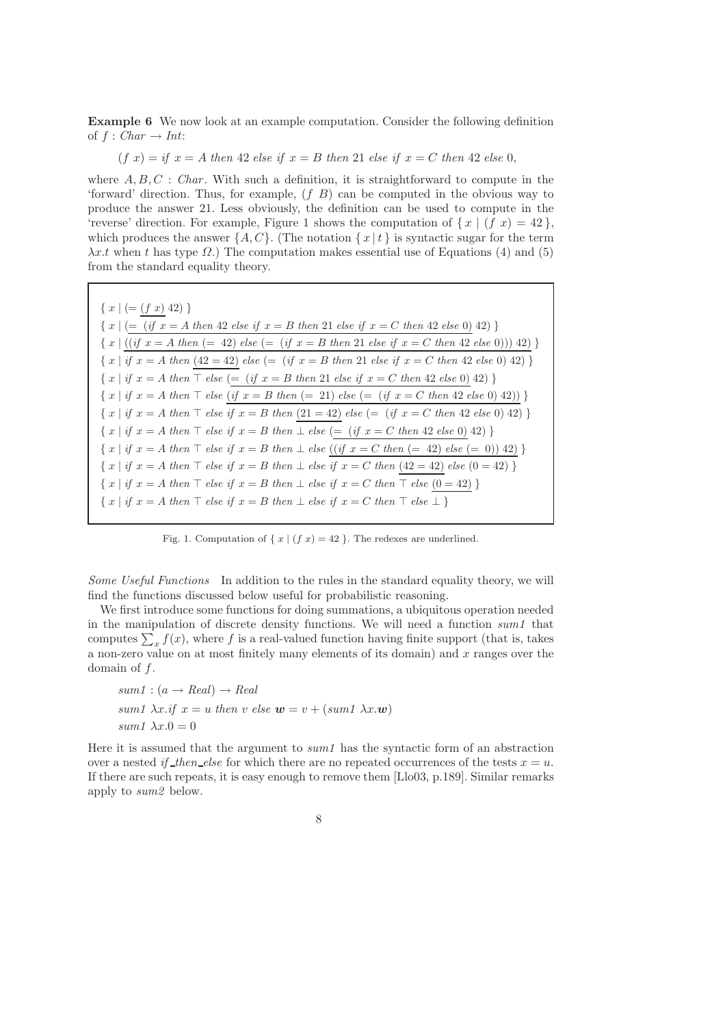Example 6 We now look at an example computation. Consider the following definition of  $f: Char \rightarrow Int$ :

 $(f x) = if x = A$  then 42 else if  $x = B$  then 21 else if  $x = C$  then 42 else 0,

where  $A, B, C$ : Char. With such a definition, it is straightforward to compute in the 'forward' direction. Thus, for example,  $(f \, B)$  can be computed in the obvious way to produce the answer 21. Less obviously, the definition can be used to compute in the 'reverse' direction. For example, Figure 1 shows the computation of  $\{x \mid (f x) = 42\}$ , which produces the answer  $\{A, C\}$ . (The notation  $\{x | t\}$  is syntactic sugar for the term  $\lambda x.t$  when t has type  $\Omega$ .) The computation makes essential use of Equations (4) and (5) from the standard equality theory.

| $\{ x \mid (=(f x) 42) \}$                                                                                                                                                        |
|-----------------------------------------------------------------------------------------------------------------------------------------------------------------------------------|
| $\{ x   (= (if x = A then 42 else if x = B then 21 else if x = C then 42 else 0) 42) \}$                                                                                          |
| $\{x \mid ((if x = A then (= 42) else (= (if x = B then 21 else if x = C then 42 else 0))) 42)\}$                                                                                 |
| $\{x \mid if \ x = A \ then \ (42 = 42) \ else \ (= \ (if \ x = B \ then \ 21 \ else \ if \ x = C \ then \ 42 \ else \ 0) \ 42) \}$                                               |
| $\{x \mid if \ x = A \ then \top \ else \ (= \ (if \ x = B \ then \ 21 \ else \ if \ x = C \ then \ 42 \ else \ 0) \ 42) \}$                                                      |
| $\{x \mid if \ x = A \ then \top \ else \ (if \ x = B \ then (= 21) \ else (= (if \ x = C \ then \ 42 \ else \ 0) \ 42)) \}$                                                      |
| { $x   if x = A then \top else if x = B then (21 = 42) else (= (if x = C then 42 else 0) 42)$ }                                                                                   |
| $\{x \mid \text{if } x = A \text{ then } \top \text{ else if } x = B \text{ then } \bot \text{ else } (= (\text{if } x = C \text{ then } 42 \text{ else } 0) 42) \}$              |
| $\{x \mid \text{if } x = A \text{ then } \top \text{ else if } x = B \text{ then } \bot \text{ else } ((\text{if } x = C \text{ then } (= 42) \text{ else } (= 0)) \text{ 42})\}$ |
| $\{x \mid if \ x = A \ then \top \ else \ if \ x = B \ then \bot \ else \ if \ x = C \ then \ (42 = 42) \ else \ (0 = 42) \}$                                                     |
| $\{ x \mid if x = A \ then \top \ else \ if \ x = B \ then \bot \ else \ if \ x = C \ then \top \ else \ (0 = 42) \}$                                                             |
| $\{x \mid if \ x = A \ then \top \ else \ if \ x = B \ then \bot \ else \ if \ x = C \ then \top \ else \bot \}$                                                                  |

Fig. 1. Computation of  $\{ x | (f x) = 42 \}$ . The redexes are underlined.

Some Useful Functions In addition to the rules in the standard equality theory, we will find the functions discussed below useful for probabilistic reasoning.

We first introduce some functions for doing summations, a ubiquitous operation needed in the manipulation of discrete density functions. We will need a function  $sum1$  that computes  $\sum_x f(x)$ , where f is a real-valued function having finite support (that is, takes a non-zero value on at most finitely many elements of its domain) and  $x$  ranges over the domain of f.

 $sum1 : (a \rightarrow Real) \rightarrow Real$ sum1  $\lambda x$ .if  $x = u$  then v else  $\mathbf{w} = v + (sum1 \lambda x \cdot \mathbf{w})$  $sum1 \lambda x.0 = 0$ 

Here it is assumed that the argument to  $sum1$  has the syntactic form of an abstraction over a nested if then else for which there are no repeated occurrences of the tests  $x = u$ . If there are such repeats, it is easy enough to remove them [Llo03, p.189]. Similar remarks apply to sum2 below.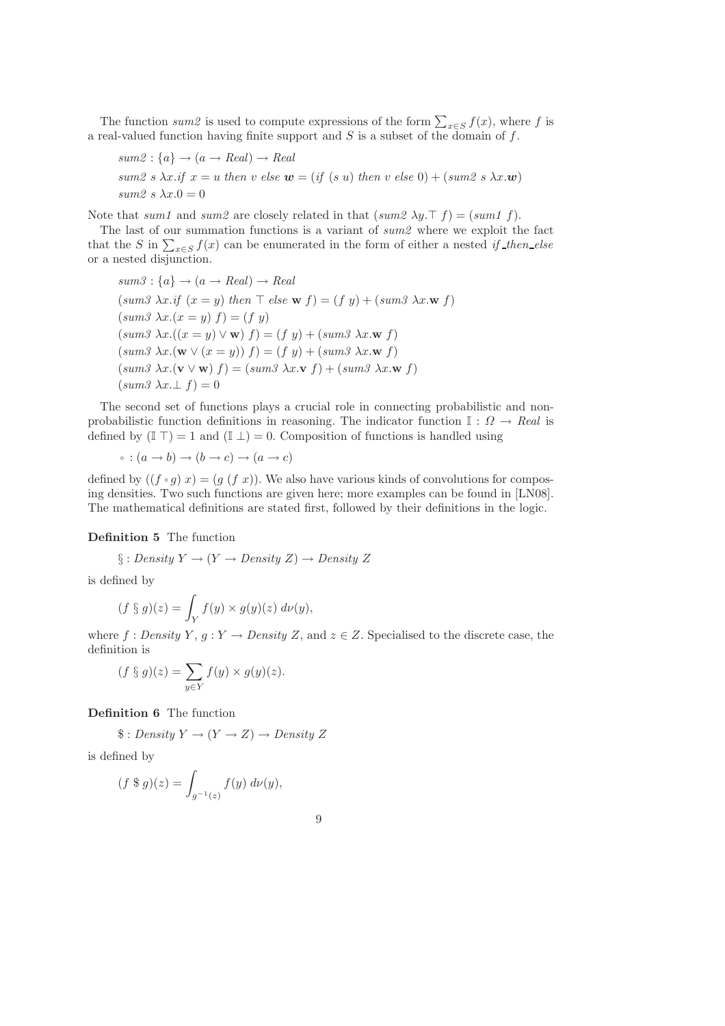The function sum2 is used to compute expressions of the form  $\sum_{x \in S} f(x)$ , where f is a real-valued function having finite support and  $S$  is a subset of the domain of  $f$ .

sum2: 
$$
\{a\} \rightarrow (a \rightarrow Real) \rightarrow Real
$$
  
sum2 s  $\lambda x$ .if  $x = u$  then v else  $\mathbf{w} = (if (s u) then v else 0) + (sum2 s  $\lambda x$ . $\mathbf{w}$ )  
sum2 s  $\lambda x$ .0 = 0$ 

Note that sum1 and sum2 are closely related in that  $(sum2 \lambda y. \top f) = (sum1 f).$ 

The last of our summation functions is a variant of sum2 where we exploit the fact that the S in  $\sum_{x \in S} f(x)$  can be enumerated in the form of either a nested if then else or a nested disjunction.

 $sum3: \{a\} \rightarrow (a \rightarrow Real) \rightarrow Real$  $(sum3 \lambda x.$ if  $(x = y)$  then  $\top$  else w  $f$ ) =  $(f y) + (sum3 \lambda x.$ w  $f)$  $(sum3 \lambda x.(x = y) f) = (f y)$  $(sum3 \lambda x.((x = y) \vee \mathbf{w}) f) = (f y) + (sum3 \lambda x. \mathbf{w} f)$  $(sum3 \lambda x.(\mathbf{w} \vee (x = y)) f) = (f y) + (sum3 \lambda x. \mathbf{w} f)$  $(sum3 \lambda x.(\mathbf{v} \vee \mathbf{w}) f) = (sum3 \lambda x.\mathbf{v} f) + (sum3 \lambda x.\mathbf{w} f)$  $(sum3 \lambda x.\bot f) = 0$ 

The second set of functions plays a crucial role in connecting probabilistic and nonprobabilistic function definitions in reasoning. The indicator function  $\mathbb{I}: \Omega \to Real$  is defined by  $(\mathbb{I} \top) = 1$  and  $(\mathbb{I} \bot) = 0$ . Composition of functions is handled using

$$
\circ : (a \to b) \to (b \to c) \to (a \to c)
$$

defined by  $((f \circ g) x) = (g (f x))$ . We also have various kinds of convolutions for composing densities. Two such functions are given here; more examples can be found in [LN08]. The mathematical definitions are stated first, followed by their definitions in the logic.

Definition 5 The function

 $\S: Density Y \rightarrow (Y \rightarrow Density Z) \rightarrow Density Z$ 

is defined by

$$
(f \S g)(z) = \int_Y f(y) \times g(y)(z) d\nu(y),
$$

where f : Density Y,  $g: Y \to Density Z$ , and  $z \in Z$ . Specialised to the discrete case, the definition is

$$
(f \S g)(z) = \sum_{y \in Y} f(y) \times g(y)(z).
$$

Definition 6 The function

$$
\$ : Density\; Y \rightarrow (Y \rightarrow Z) \rightarrow Density\; Z
$$

is defined by

$$
(f \, \, \textcircled{s} \, g)(z) = \int_{g^{-1}(z)} f(y) \, d\nu(y),
$$

$$
9\,
$$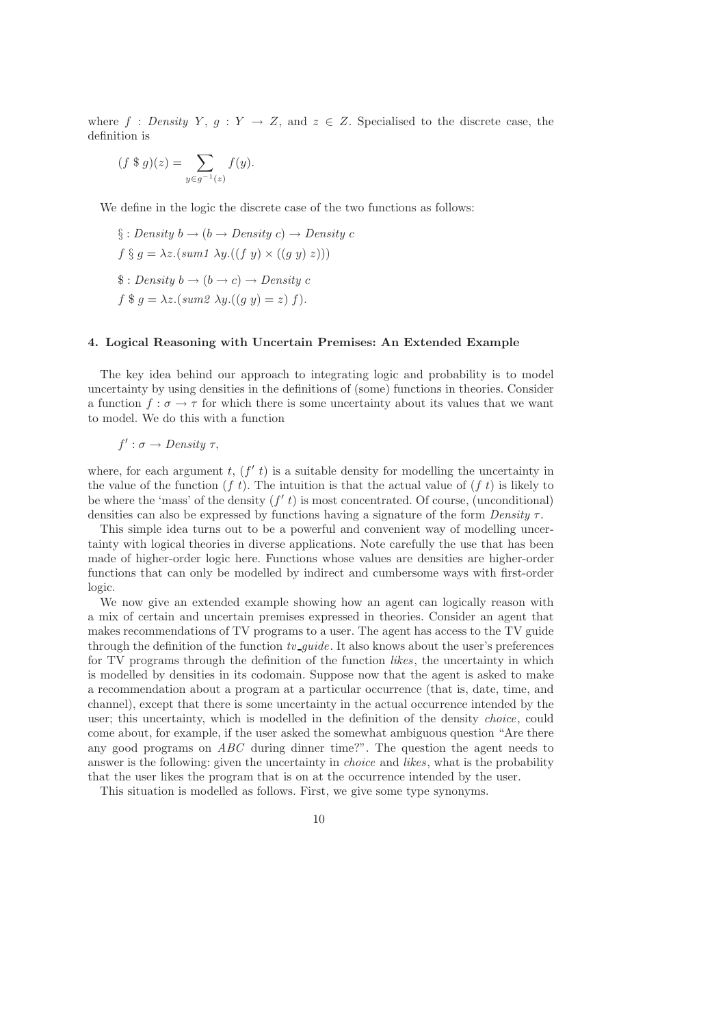where f : Density Y,  $g: Y \to Z$ , and  $z \in Z$ . Specialised to the discrete case, the definition is

$$
(f \, \$ \, g)(z) = \sum_{y \in g^{-1}(z)} f(y).
$$

We define in the logic the discrete case of the two functions as follows:

 $\S: Density\ b \rightarrow (b \rightarrow Density\ c) \rightarrow Density\ c$  $f \S g = \lambda z. (sum1 \lambda y. ((f y) \times ((g y) z)))$  $\$\colon Density\ b \rightarrow (b \rightarrow c) \rightarrow Density\ c$  $f \$  Q = \lambda z. (sum2 \lambda y. ((q y) = z) f).

#### 4. Logical Reasoning with Uncertain Premises: An Extended Example

The key idea behind our approach to integrating logic and probability is to model uncertainty by using densities in the definitions of (some) functions in theories. Consider a function  $f : \sigma \to \tau$  for which there is some uncertainty about its values that we want to model. We do this with a function

$$
f':\sigma\to Density\ \tau,
$$

where, for each argument  $t$ ,  $(f' t)$  is a suitable density for modelling the uncertainty in the value of the function  $(f t)$ . The intuition is that the actual value of  $(f t)$  is likely to be where the 'mass' of the density  $(f' t)$  is most concentrated. Of course, (unconditional) densities can also be expressed by functions having a signature of the form  $Density \tau$ .

This simple idea turns out to be a powerful and convenient way of modelling uncertainty with logical theories in diverse applications. Note carefully the use that has been made of higher-order logic here. Functions whose values are densities are higher-order functions that can only be modelled by indirect and cumbersome ways with first-order logic.

We now give an extended example showing how an agent can logically reason with a mix of certain and uncertain premises expressed in theories. Consider an agent that makes recommendations of TV programs to a user. The agent has access to the TV guide through the definition of the function  $tv$ -quide. It also knows about the user's preferences for TV programs through the definition of the function likes, the uncertainty in which is modelled by densities in its codomain. Suppose now that the agent is asked to make a recommendation about a program at a particular occurrence (that is, date, time, and channel), except that there is some uncertainty in the actual occurrence intended by the user; this uncertainty, which is modelled in the definition of the density *choice*, could come about, for example, if the user asked the somewhat ambiguous question "Are there any good programs on ABC during dinner time?". The question the agent needs to answer is the following: given the uncertainty in choice and likes, what is the probability that the user likes the program that is on at the occurrence intended by the user.

This situation is modelled as follows. First, we give some type synonyms.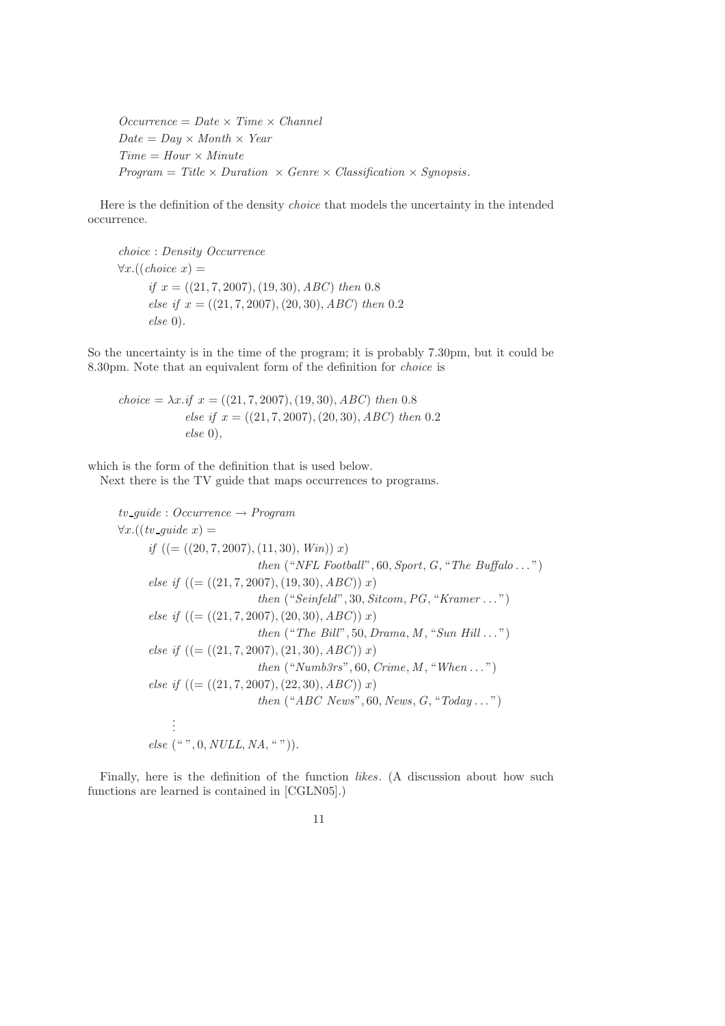$Occurrence = Date \times Time \times Channel$  $Date = Day \times Month \times Year$  $Time = Hour \times Minute$  $Program = Title \timesّ{Duration} \times Genre \times Classification \times Synopsis.$ 

Here is the definition of the density choice that models the uncertainty in the intended occurrence.

choice : Density Occurrence  $\forall x.((choice \; x) =$ if  $x = ((21, 7, 2007), (19, 30), ABC)$  then 0.8 else if  $x = ((21, 7, 2007), (20, 30), ABC)$  then 0.2 else 0).

So the uncertainty is in the time of the program; it is probably 7.30pm, but it could be 8.30pm. Note that an equivalent form of the definition for choice is

$$
choice = \lambda x. if \ x = ((21, 7, 2007), (19, 30), ABC) \ then \ 0.8
$$
  
*else if*  $x = ((21, 7, 2007), (20, 30), ABC) \ then \ 0.2$   
*else* 0),

which is the form of the definition that is used below.

Next there is the TV guide that maps occurrences to programs.

 $tv\_guide : Occurrence \rightarrow Program$  $\forall x.((tv\_guide x) =$ if  $((= ((20, 7, 2007), (11, 30), Win)) x)$ then  $("NFL \textit{ Football"}$ , 60, Sport,  $G, "The \textit{Buffalo} ...")$ else if  $((=((21, 7, 2007), (19, 30), ABC)) x)$ then  $("Seinfeld", 30, Siicom, PG, "Kramer ...")$ else if  $((= ((21, 7, 2007), (20, 30), ABC)) x)$ then  $("The Bill", 50, Drama, M, "Sun Hill ...")$ else if  $((= ((21, 7, 2007), (21, 30), ABC)) x)$ then  $("Numb3rs", 60, Crime, M, "When ...")$ else if  $((= ((21, 7, 2007), (22, 30), ABC)) x)$ then  $({}^\alpha ABC\; News", 60, News, G, \text{``Today} \dots")$ . . .  $else ($ <sup>"</sup>, 0, *NULL*, *NA*, <sup>"</sup>")).

Finally, here is the definition of the function likes. (A discussion about how such functions are learned is contained in [CGLN05].)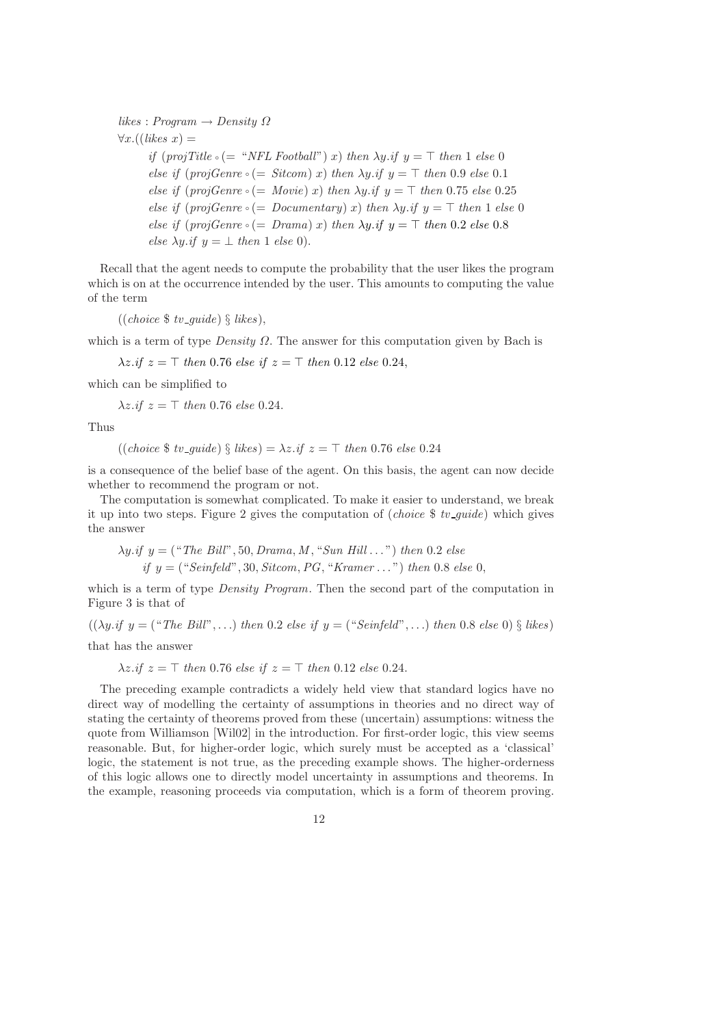```
likes : Program \rightarrow Density \Omega\forall x.((\text{likes } x) =if \text{(projTitle} \circ (= \text{``NFL Football''}) x) then \lambda y \cdot \text{if } y = \top then 1 else 0
else if (projGenre ∘ (= Sitcom) x) then \lambda y.if y = \top then 0.9 else 0.1
else if (projGenre ∘ (= Movie) x) then \lambda y if y = \top then 0.75 else 0.25
else if (projGenre ∘ (= Documentary) x) then \lambda y if y = \top then 1 else 0
else if (projGenre ∘ (= Drama) x) then \lambda y.if y = \top then 0.2 else 0.8
else \lambda y if y = \bot then 1 else 0).
```
Recall that the agent needs to compute the probability that the user likes the program which is on at the occurrence intended by the user. This amounts to computing the value of the term

 $((choice \; \$ \; tv\_guide) \; \S \; likes),$ 

which is a term of type  $Density \Omega$ . The answer for this computation given by Bach is

 $\lambda z$ .if  $z = \top$  then 0.76 else if  $z = \top$  then 0.12 else 0.24,

which can be simplified to

 $\lambda z.$ if  $z = \top$  then 0.76 else 0.24.

Thus

((choice  $$ t v$ -quide)  $$$  likes) =  $\lambda z$ .if  $z = \top$  then 0.76 else 0.24

is a consequence of the belief base of the agent. On this basis, the agent can now decide whether to recommend the program or not.

The computation is somewhat complicated. To make it easier to understand, we break it up into two steps. Figure 2 gives the computation of (*choice*  $\text{\$ }tv\_guide$ ) which gives the answer

$$
\lambda y. if \ y = ("The Bill", 50, Drama, M, "Sun Hill...") then 0.2 elseif \ y = ("Seinfeld", 30, Sitcom, PG, "Kramer...") then 0.8 else 0,
$$

which is a term of type *Density Program*. Then the second part of the computation in Figure 3 is that of

 $((\lambda y \cdot if \ y = ("The Bill", ...) then 0.2 else if \ y = ("Seinfeld", ...) then 0.8 else 0) \$ likes)

that has the answer

 $\lambda z.$ if  $z = \top$  then 0.76 else if  $z = \top$  then 0.12 else 0.24.

The preceding example contradicts a widely held view that standard logics have no direct way of modelling the certainty of assumptions in theories and no direct way of stating the certainty of theorems proved from these (uncertain) assumptions: witness the quote from Williamson [Wil02] in the introduction. For first-order logic, this view seems reasonable. But, for higher-order logic, which surely must be accepted as a 'classical' logic, the statement is not true, as the preceding example shows. The higher-orderness of this logic allows one to directly model uncertainty in assumptions and theorems. In the example, reasoning proceeds via computation, which is a form of theorem proving.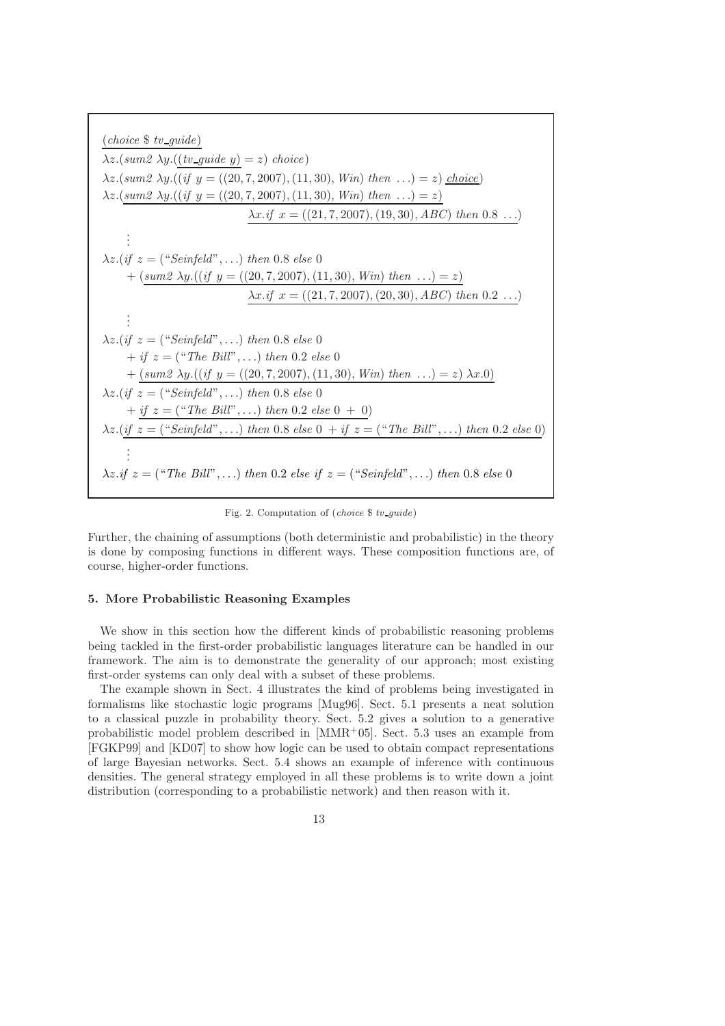| $(choice \; $\; tv\_{guide})$                                                               |
|---------------------------------------------------------------------------------------------|
| $\lambda z. (sum2 \lambda y. ((tv\_guide y) = z) choice)$                                   |
| $\lambda z. (sum2 \lambda y. ((if \ y = ((20, 7, 2007), (11, 30), Win) then ) = z)$ choice) |
| $\lambda z. (sum2 \lambda y. ((if \ y = ((20, 7, 2007), (11, 30), Win) then ) = z)$         |
| $\lambda x.$ if $x = ((21, 7, 2007), (19, 30), ABC)$ then 0.8 )                             |
|                                                                                             |
|                                                                                             |
| $\lambda z.(if z = ("Seinfeld",) then 0.8 else 0)$                                          |
| $+(sum2 \lambda y. ((if y = ((20, 7, 2007), (11, 30), Win) then ) = z)$                     |
| $\lambda x.$ if $x = ((21, 7, 2007), (20, 30), ABC)$ then 0.2 )                             |
|                                                                                             |
| $\lambda z. (if z = ("Seinfeld",) then 0.8 else 0$                                          |
| $+ if z = ("The Bill",) then 0.2 else 0"$                                                   |
| $+(sum2 \lambda y. ((if y = ((20, 7, 2007), (11, 30), Win) then ) = z) \lambda x.0)$        |
| $\lambda z. (if z = ("Seinfeld",) then 0.8 else 0$                                          |
| $+ if z = ("The Bill",) then 0.2 else 0 + 0)$                                               |
| $\lambda z. (if z = ("Seinfeld",) then 0.8 else 0 + if z = ("The Bill",) then 0.2 else 0)$  |
|                                                                                             |
|                                                                                             |
| $\lambda z$ if $z =$ ("The Bill",) then 0.2 else if $z =$ ("Seinfeld",) then 0.8 else 0     |
|                                                                                             |

Fig. 2. Computation of (*choice*  $$*w*-guide$ )

Further, the chaining of assumptions (both deterministic and probabilistic) in the theory is done by composing functions in different ways. These composition functions are, of course, higher-order functions.

### 5. More Probabilistic Reasoning Examples

We show in this section how the different kinds of probabilistic reasoning problems being tackled in the first-order probabilistic languages literature can be handled in our framework. The aim is to demonstrate the generality of our approach; most existing first-order systems can only deal with a subset of these problems.

The example shown in Sect. 4 illustrates the kind of problems being investigated in formalisms like stochastic logic programs [Mug96]. Sect. 5.1 presents a neat solution to a classical puzzle in probability theory. Sect. 5.2 gives a solution to a generative probabilistic model problem described in [MMR<sup>+</sup>05]. Sect. 5.3 uses an example from [FGKP99] and [KD07] to show how logic can be used to obtain compact representations of large Bayesian networks. Sect. 5.4 shows an example of inference with continuous densities. The general strategy employed in all these problems is to write down a joint distribution (corresponding to a probabilistic network) and then reason with it.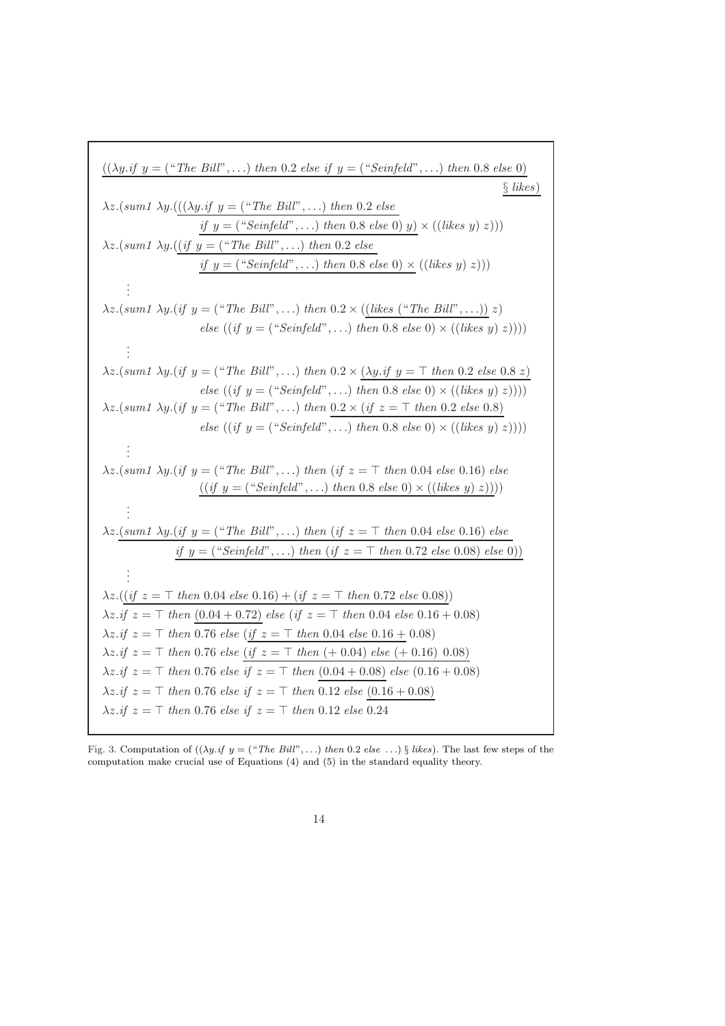| $((\lambda y \cdot \text{if } y = (\text{``The Bill''}, \ldots) \text{ then } 0.2 \text{ else if } y = (\text{``Seinfeld''}, \ldots) \text{ then } 0.8 \text{ else } 0)$ |
|--------------------------------------------------------------------------------------------------------------------------------------------------------------------------|
| $\S$ likes)                                                                                                                                                              |
| $\lambda z. (sum1 \; \lambda y. (((\lambda y. if \; y = ("The Bill",) then 0.2 \; else$                                                                                  |
| if $y = ("Seinfeld",)$ then 0.8 else 0) $y) \times ((likes \ y) \ z)))$                                                                                                  |
| $\lambda z. (sum1 \; \lambda y. ((if \; y = ("The \; Bill", \ldots) \; then \; 0.2 \; else$                                                                              |
| if $y = ("Seinfeld",)$ then 0.8 else 0) $\times ((likes y) z))$                                                                                                          |
|                                                                                                                                                                          |
| $\lambda z. (sum1 \lambda y. (if y = ("The Bill",) then 0.2 \times ((likes ("The Bill",)) z)$                                                                            |
| else ((if $y = ("Seinfeld",)$ then 0.8 else 0) $\times$ ((likes y) z))))                                                                                                 |
|                                                                                                                                                                          |
| $\lambda z. (sum1 \; \lambda y. (if \; y = ("The Bill",) then 0.2 \times (\lambda y. if \; y = \top \; then \; 0.2 \; else \; 0.8 \; z))$                                |
| else $((if y = ("Seinfeld", ) then 0.8 else 0) \times ((likes y) z))))$                                                                                                  |
| $\lambda z. (sum1 \; \lambda y. (if \; y = ("The Bill",) then 0.2 \times (if \; z = \top \; then \; 0.2 \; else \; 0.8))$                                                |
| else ((if $y = ("Seinfeld",)$ then 0.8 else 0) $\times ((likes y) z)))$ )                                                                                                |
|                                                                                                                                                                          |
| $\lambda z. (sum1 \; \lambda y. (if \; y = ("The Bill",) then (if \; z = \top \; then \; 0.04 \; else \; 0.16) \; else$                                                  |
| $((if y = ("Seinfeld",) then 0.8 else 0) \times ((likes y) z)))$                                                                                                         |
|                                                                                                                                                                          |
| $\lambda z. (sum1 \; \lambda y. (if \; y = ("The Bill",) then (if \; z = \top \; then \; 0.04 \; else \; 0.16) \; else$                                                  |
| if $y = ("Seinfeld",)$ then $(if z = \top$ then 0.72 else 0.08) else 0))                                                                                                 |
|                                                                                                                                                                          |
| $\lambda z. ((if z = \top \ then \ 0.04 \ else \ 0.16) + (if z = \top \ then \ 0.72 \ else \ 0.08))$                                                                     |
| $\lambda z.$ if $z = \top$ then $(0.04 + 0.72)$ else (if $z = \top$ then 0.04 else 0.16 + 0.08)                                                                          |
| $\lambda z$ if $z = \top$ then 0.76 else (if $z = \top$ then 0.04 else 0.16 + 0.08)                                                                                      |
| $\lambda z.$ if $z = \top$ then 0.76 else (if $z = \top$ then (+ 0.04) else (+ 0.16) 0.08)                                                                               |
| $\lambda z$ if $z = \top$ then 0.76 else if $z = \top$ then $(0.04 + 0.08)$ else $(0.16 + 0.08)$                                                                         |
| $\lambda z.$ if $z = \top$ then 0.76 else if $z = \top$ then 0.12 else (0.16 + 0.08)                                                                                     |
| $\lambda z.$ if $z = \top$ then 0.76 else if $z = \top$ then 0.12 else 0.24                                                                                              |
|                                                                                                                                                                          |

Fig. 3. Computation of  $((\lambda y.if \ y = ("The Bill",...) then 0.2 else ...) \S$  likes). The last few steps of the computation make crucial use of Equations (4) and (5) in the standard equality theory.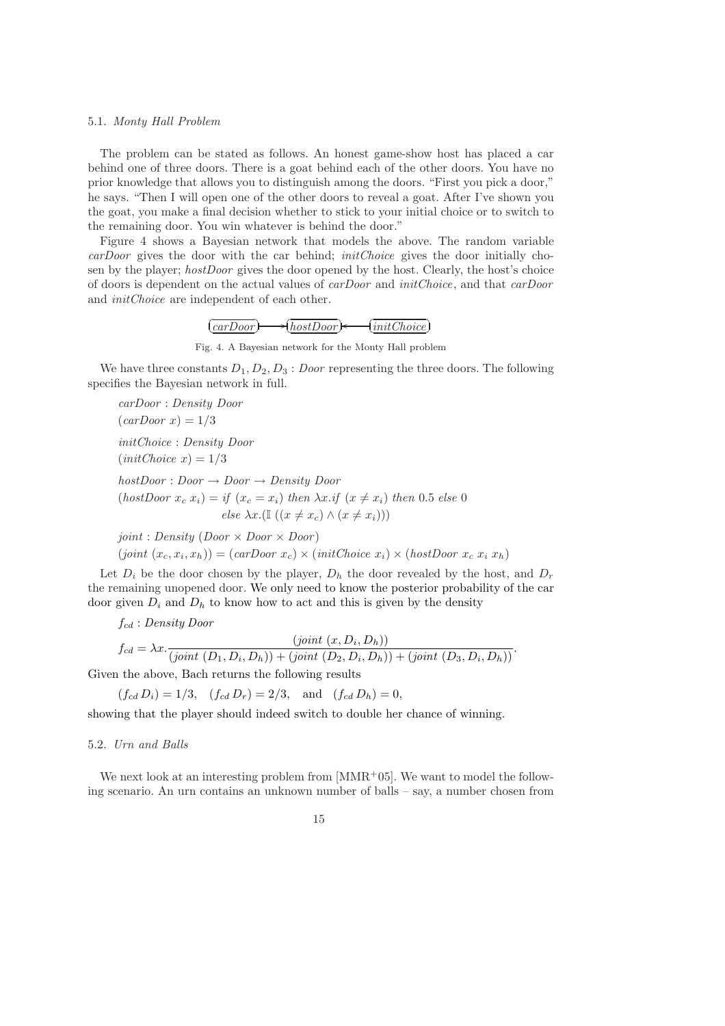#### 5.1. Monty Hall Problem

The problem can be stated as follows. An honest game-show host has placed a car behind one of three doors. There is a goat behind each of the other doors. You have no prior knowledge that allows you to distinguish among the doors. "First you pick a door," he says. "Then I will open one of the other doors to reveal a goat. After I've shown you the goat, you make a final decision whether to stick to your initial choice or to switch to the remaining door. You win whatever is behind the door."

Figure 4 shows a Bayesian network that models the above. The random variable carDoor gives the door with the car behind; *initChoice* gives the door initially chosen by the player; *hostDoor* gives the door opened by the host. Clearly, the host's choice of doors is dependent on the actual values of carDoor and initChoice, and that carDoor and initChoice are independent of each other.

 $\overline{(carDoor)} \longrightarrow \overline{ (hostDoor)} \longleftarrow \overline{ (initChoice)}$ 

Fig. 4. A Bayesian network for the Monty Hall problem

We have three constants  $D_1, D_2, D_3$ : *Door* representing the three doors. The following specifies the Bayesian network in full.

carDoor : Density Door  $(\text{carDoor } x) = 1/3$ initChoice : Density Door  $(intChoice x) = 1/3$  $hostDoor: Door \rightarrow Door \rightarrow Density\,Door$ (hostDoor  $x_c$   $x_i$ ) = if  $(x_c = x_i)$  then  $\lambda x$ .if  $(x \neq x_i)$  then 0.5 else 0 else  $\lambda x.(\mathbb{I}((x \neq x_c) \wedge (x \neq x_i)))$ 

joint : Density  $(Door \times Door \times Door)$ 

 $(joint (x_c, x_i, x_h)) = (carDoor x_c) \times (initChoice x_i) \times (hostDoor x_c x_i, x_h)$ 

Let  $D_i$  be the door chosen by the player,  $D_h$  the door revealed by the host, and  $D_r$ the remaining unopened door. We only need to know the posterior probability of the car door given  $D_i$  and  $D_h$  to know how to act and this is given by the density

$$
f_{cd}: Density\,Door
$$
  
\n
$$
f_{cd} = \lambda x. \frac{(joint (x, D_i, D_h))}{(joint (D_1, D_i, D_h)) + (joint (D_2, D_i, D_h)) + (joint (D_3, D_i, D_h))}.
$$

Given the above, Bach returns the following results

 $(f_{cd} D_i) = 1/3$ ,  $(f_{cd} D_r) = 2/3$ , and  $(f_{cd} D_h) = 0$ ,

showing that the player should indeed switch to double her chance of winning.

## 5.2. Urn and Balls

We next look at an interesting problem from  $[MMR<sup>+</sup>05]$ . We want to model the following scenario. An urn contains an unknown number of balls – say, a number chosen from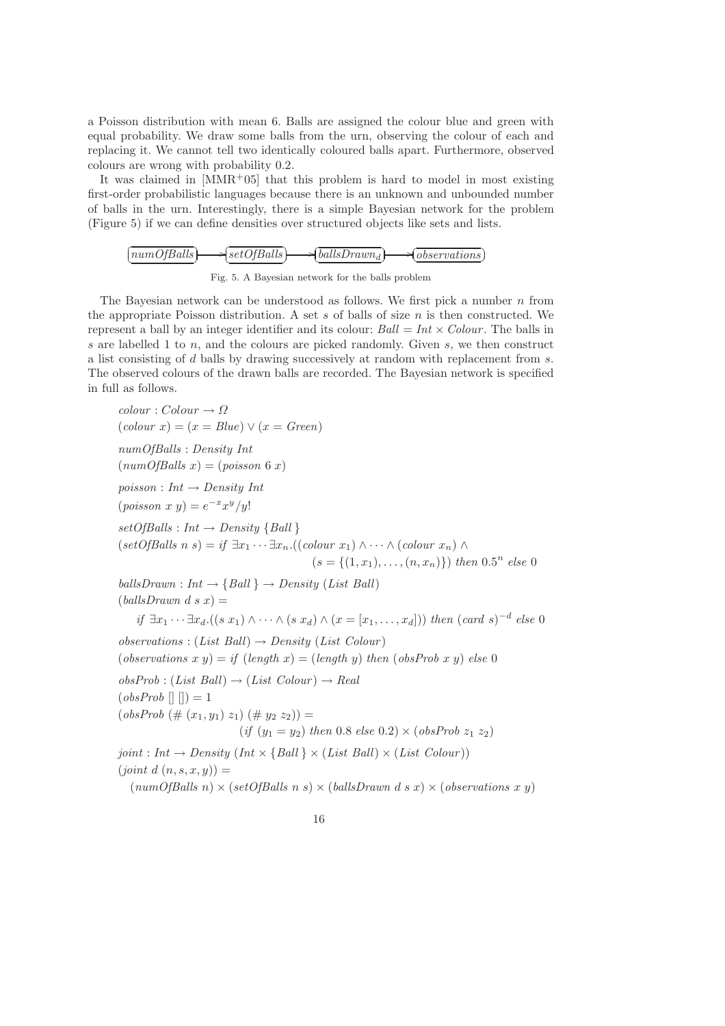a Poisson distribution with mean 6. Balls are assigned the colour blue and green with equal probability. We draw some balls from the urn, observing the colour of each and replacing it. We cannot tell two identically coloured balls apart. Furthermore, observed colours are wrong with probability 0.2.

It was claimed in  $[MMR^+05]$  that this problem is hard to model in most existing first-order probabilistic languages because there is an unknown and unbounded number of balls in the urn. Interestingly, there is a simple Bayesian network for the problem (Figure 5) if we can define densities over structured objects like sets and lists.

$$
\fbox{\textbf{[numOfBalls]}} \xrightarrow{\textbf{[setOfBalls]}} \fbox{\textbf{[ballsDrawn_d]}} \xrightarrow{\textbf{[observations]}}
$$

Fig. 5. A Bayesian network for the balls problem

The Bayesian network can be understood as follows. We first pick a number  $n$  from the appropriate Poisson distribution. A set s of balls of size  $n$  is then constructed. We represent a ball by an integer identifier and its colour:  $Ball = Int \times Color$ . The balls in s are labelled 1 to  $n$ , and the colours are picked randomly. Given  $s$ , we then construct a list consisting of d balls by drawing successively at random with replacement from s. The observed colours of the drawn balls are recorded. The Bayesian network is specified in full as follows.

 $colour:Color \rightarrow \Omega$  $(colour x) = (x = Blue) \vee (x = Green)$ numOfBalls : Density Int  $(numOfBalls x) = (poisson 6 x)$  $poisson: Int \rightarrow Density Int$  $(poisson x y) = e^{-x} x^y/y!$  $setOfBalls : Int \rightarrow Density \{Ball\}$  $(setOfBalls \; n \; s) = if \; \exists x_1 \cdots \exists x_n \cdot ((colour \; x_1) \wedge \cdots \wedge (colour \; x_n) \wedge$  $(s = \{(1, x_1), \ldots, (n, x_n)\})$  then  $0.5^n$  else 0 ballsDrawn : Int  $\rightarrow$  {Ball }  $\rightarrow$  Density (List Ball)  $(ballsDrawn d s x) =$ *if*  $\exists x_1 \cdots \exists x_d. ((s \ x_1) \land \cdots \land (s \ x_d) \land (x = [x_1, \ldots, x_d]))$  then  $(card \ s)^{-d}$  else 0  $observations: (List Ball) \rightarrow Density (List Colour)$ (observations  $x y$ ) = if (length  $x$ ) = (length y) then (obsProb  $x y$ ) else 0  $obsProb: (List Ball) \rightarrow (List Colour) \rightarrow Real$  $(\text{obsProb} \parallel \parallel) = 1$  $(\text{obsProb } (\# (x_1, y_1) z_1) (\# y_2 z_2)) =$  $(if (y_1 = y_2) then 0.8 else 0.2) \times (obsProb z_1 z_2)$ joint : Int  $\rightarrow$  Density (Int  $\times$  {Ball }  $\times$  (List Ball)  $\times$  (List Colour))  $(joint d(n, s, x, y)) =$  $(numOfBalls\ n) \times (setOfBalls\ n\ s) \times (ballsDrawn\ d\ s\ x) \times (observations\ x\ y)$ 

16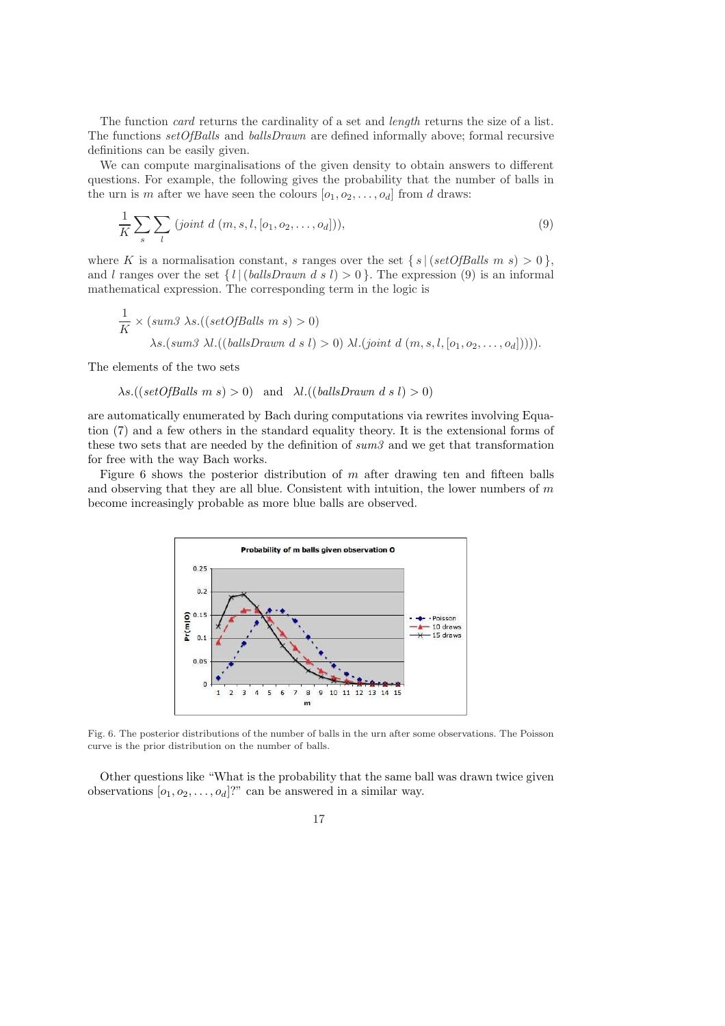The function card returns the cardinality of a set and length returns the size of a list. The functions  $setOfBalls$  and ballsDrawn are defined informally above; formal recursive definitions can be easily given.

We can compute marginalisations of the given density to obtain answers to different questions. For example, the following gives the probability that the number of balls in the urn is m after we have seen the colours  $[o_1, o_2, \ldots, o_d]$  from d draws:

$$
\frac{1}{K} \sum_{s} \sum_{l} (joint\ d\ (m, s, l, [o_1, o_2, \dots, o_d])),\tag{9}
$$

where K is a normalisation constant, s ranges over the set  $\{s \mid (setOfBalls \mid m s) > 0\}$ , and l ranges over the set  $\{l \mid (ballsDrawn \ d \ s \ l) > 0 \}$ . The expression (9) is an informal mathematical expression. The corresponding term in the logic is

$$
\frac{1}{K} \times (sum3 \text{ } \lambda s.((setOfBalls \text{ } m \text{ } s) > 0)
$$
\n
$$
\lambda s.(sum3 \text{ } \lambda l.((ballsDrawn \text{ } d \text{ } s \text{ } l) > 0) \text{ } \lambda l.(joint \text{ } d \text{ } (m, s, l, [o_1, o_2, \dots, o_d])))).
$$

The elements of the two sets

$$
\lambda s.((setOfBalls \ m \ s) > 0) \quad \text{and} \quad \lambda l.((ballsDraw n \ d \ s \ l) > 0)
$$

are automatically enumerated by Bach during computations via rewrites involving Equation (7) and a few others in the standard equality theory. It is the extensional forms of these two sets that are needed by the definition of  $sum3$  and we get that transformation for free with the way Bach works.

Figure 6 shows the posterior distribution of  $m$  after drawing ten and fifteen balls and observing that they are all blue. Consistent with intuition, the lower numbers of  $m$ become increasingly probable as more blue balls are observed.



Fig. 6. The posterior distributions of the number of balls in the urn after some observations. The Poisson curve is the prior distribution on the number of balls.

Other questions like "What is the probability that the same ball was drawn twice given observations  $[o_1, o_2, \ldots, o_d]$ ?" can be answered in a similar way.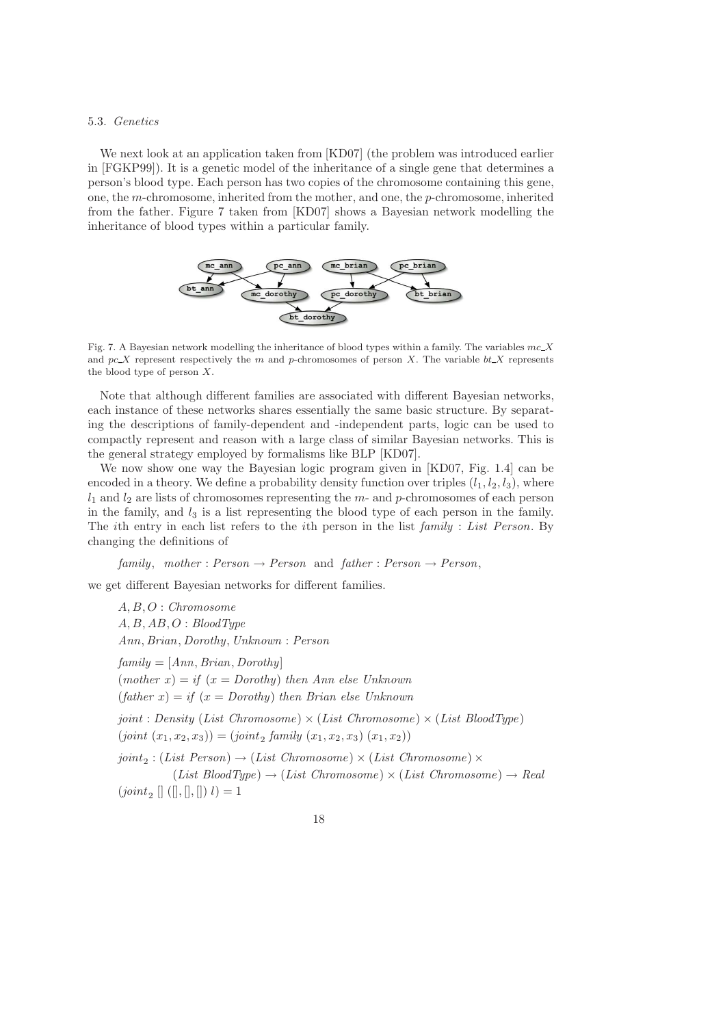# 5.3. Genetics

We next look at an application taken from [KD07] (the problem was introduced earlier in [FGKP99]). It is a genetic model of the inheritance of a single gene that determines a person's blood type. Each person has two copies of the chromosome containing this gene, one, the m-chromosome, inherited from the mother, and one, the p-chromosome, inherited from the father. Figure 7 taken from [KD07] shows a Bayesian network modelling the inheritance of blood types within a particular family.



Fig. 7. A Bayesian network modelling the inheritance of blood types within a family. The variables  $mc\_X$ and pc<sub>x</sub>X represent respectively the m and p-chromosomes of person X. The variable bt<sub>x</sub>X represents the blood type of person X.

Note that although different families are associated with different Bayesian networks, each instance of these networks shares essentially the same basic structure. By separating the descriptions of family-dependent and -independent parts, logic can be used to compactly represent and reason with a large class of similar Bayesian networks. This is the general strategy employed by formalisms like BLP [KD07].

We now show one way the Bayesian logic program given in [KD07, Fig. 1.4] can be encoded in a theory. We define a probability density function over triples  $(l_1, l_2, l_3)$ , where  $l_1$  and  $l_2$  are lists of chromosomes representing the m- and p-chromosomes of each person in the family, and  $l_3$  is a list representing the blood type of each person in the family. The *i*th entry in each list refers to the *i*th person in the list *family : List Person*. By changing the definitions of

family, mother : Person  $\rightarrow$  Person and father : Person  $\rightarrow$  Person,

we get different Bayesian networks for different families.

A, B, O : Chromosome  $A, B, AB, O: BloodType$ Ann, Brian, Dorothy, Unknown : Person  $family = [Ann, Brian, Dorothy]$  $(mother\ x) = if\ (x = Dorothy) \ then \ Ann\ else \ Unknown$  $(father x) = if (x = Dorothy) then Brian else Unknown$ joint : Density (List Chromosome)  $\times$  (List Chromosome)  $\times$  (List BloodType)  $(joint (x_1, x_2, x_3)) = (joint_2 family (x_1, x_2, x_3) (x_1, x_2))$  $joint_2: (List Person) \rightarrow (List Chromosome) \times (List Chromosome) \times$  $(List BloodType) \rightarrow (List Chromosome) \times (List Chromosome) \rightarrow Real$  $(joint_2 [\,][\,],[\,],[\,]) l) = 1$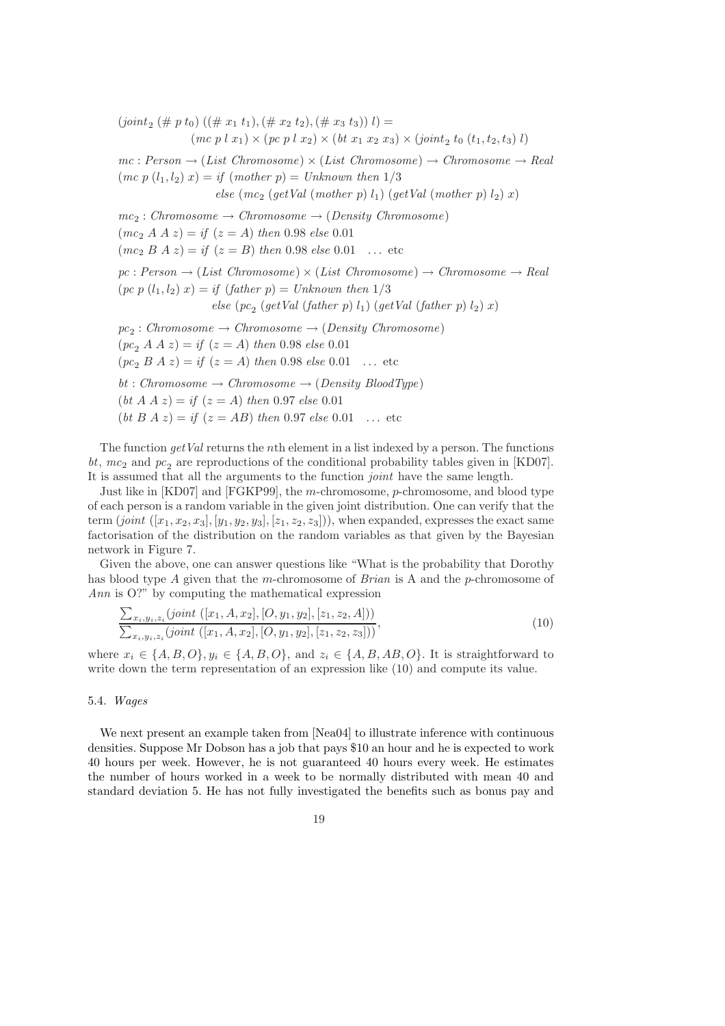$(joint_2 (\# p t_0) ((\# x_1 t_1), (\# x_2 t_2), (\# x_3 t_3)) l) =$  $(mc\ p\ l\ x_1) \times (pc\ p\ l\ x_2) \times (bt\ x_1\ x_2\ x_3) \times (joint_2\ t_0\ (t_1, t_2, t_3)\ l)$  $mc : Person \rightarrow (List \ Chromosome) \times (List \ Chromosome) \rightarrow Chromosome \rightarrow Real$  $(mc p (l_1, l_2) x) = if (mother p) = Unknown then 1/3$ else (mc<sub>2</sub> (getVal (mother p)  $l_1$ ) (getVal (mother p)  $l_2$ ) x)  $mc_2: Chromosome \rightarrow Chromosome \rightarrow (Density Chromosome)$  $(mc_2 A A z) = if (z = A) then 0.98 else 0.01$  $(mc_2 B A z) = i f (z = B)$  then 0.98 else 0.01 ... etc  $pc : Person \rightarrow (List\ Chromosome) \times (List\ Chromosome) \rightarrow Chromosome \rightarrow Real$  $(pc\ p\ (l_1, l_2)\ x) = if\ (father\ p) = Unknown\ then\ 1/3$ else  $(pc_2$  (getVal (father p)  $l_1$ ) (getVal (father p)  $l_2$ ) x)  $pc_2: Chromosome \rightarrow Chromosome \rightarrow (Density Chromosome)$  $(pc_2 A A z) = if (z = A) then 0.98 else 0.01$  $(pc_2 B A z) = if (z = A) then 0.98 else 0.01 ... etc$  $bt: Chromosome \rightarrow Chromosome \rightarrow (Density BloodType)$  $(bt \land A \land z) = if (z = A) \ then \ 0.97 \ else \ 0.01$  $(bt B A z) = if (z = AB) then 0.97 else 0.01 ... etc$ 

The function getVal returns the nth element in a list indexed by a person. The functions bt,  $mc_2$  and  $pc_2$  are reproductions of the conditional probability tables given in [KD07]. It is assumed that all the arguments to the function joint have the same length.

Just like in [KD07] and [FGKP99], the m-chromosome, p-chromosome, and blood type of each person is a random variable in the given joint distribution. One can verify that the term  $(joint ([x_1, x_2, x_3], [y_1, y_2, y_3], [z_1, z_2, z_3]))$ , when expanded, expresses the exact same factorisation of the distribution on the random variables as that given by the Bayesian network in Figure 7.

Given the above, one can answer questions like "What is the probability that Dorothy has blood type A given that the m-chromosome of Brian is A and the p-chromosome of Ann is O?" by computing the mathematical expression

$$
\frac{\sum_{x_i, y_i, z_i} (joint ([x_1, A, x_2], [O, y_1, y_2], [z_1, z_2, A]))}{\sum_{x_i, y_i, z_i} (joint ([x_1, A, x_2], [O, y_1, y_2], [z_1, z_2, z_3]))},
$$
\n(10)

where  $x_i \in \{A, B, O\}$ ,  $y_i \in \{A, B, O\}$ , and  $z_i \in \{A, B, AB, O\}$ . It is straightforward to write down the term representation of an expression like (10) and compute its value.

## 5.4. Wages

We next present an example taken from [Nea04] to illustrate inference with continuous densities. Suppose Mr Dobson has a job that pays \$10 an hour and he is expected to work 40 hours per week. However, he is not guaranteed 40 hours every week. He estimates the number of hours worked in a week to be normally distributed with mean 40 and standard deviation 5. He has not fully investigated the benefits such as bonus pay and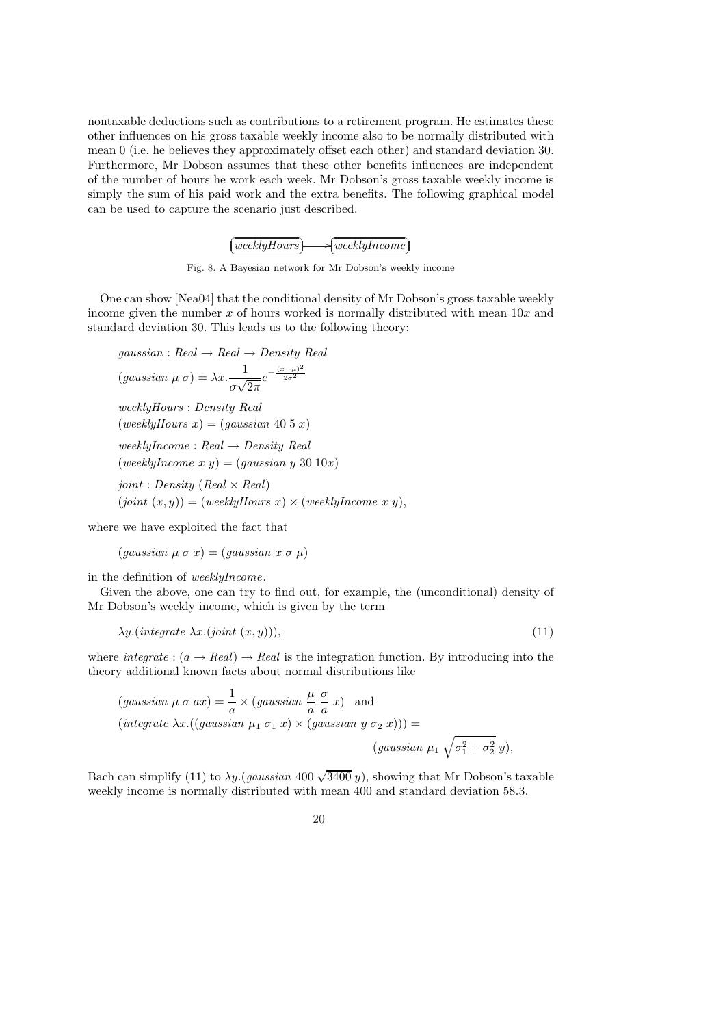nontaxable deductions such as contributions to a retirement program. He estimates these other influences on his gross taxable weekly income also to be normally distributed with mean 0 (i.e. he believes they approximately offset each other) and standard deviation 30. Furthermore, Mr Dobson assumes that these other benefits influences are independent of the number of hours he work each week. Mr Dobson's gross taxable weekly income is simply the sum of his paid work and the extra benefits. The following graphical model can be used to capture the scenario just described.



Fig. 8. A Bayesian network for Mr Dobson's weekly income

One can show [Nea04] that the conditional density of Mr Dobson's gross taxable weekly income given the number  $x$  of hours worked is normally distributed with mean  $10x$  and standard deviation 30. This leads us to the following theory:

gaussian: Real 
$$
\rightarrow
$$
 *Real*  $\rightarrow$  *Density Real*  
\n(gaussian  $\mu \sigma$ ) =  $\lambda x. \frac{1}{\sigma \sqrt{2\pi}} e^{-\frac{(x-\mu)^2}{2\sigma^2}}$   
\nweeklyHours: Density Real  
\n(weeklyHours  $x$ ) = (gaussian 40 5  $x$ )  
\nweeklyIncome: Real  $\rightarrow$  Density Real  
\n(weeklyIncome  $x y$ ) = (gaussian  $y$  30 10 $x$ )  
\njoint: Density (Real  $\times$  Real)  
\n(joint  $(x, y)$ ) = (weeklyHours  $x$ )  $\times$  (weeklyIncome  $x y$ ),

where we have exploited the fact that

 $(gaussian \mu \sigma x) = (gaussian \sigma \mu)$ 

in the definition of weeklyIncome.

Given the above, one can try to find out, for example, the (unconditional) density of Mr Dobson's weekly income, which is given by the term

$$
\lambda y. (integrate \ \lambda x. (joint \ (x, y))), \tag{11}
$$

where integrate :  $(a \rightarrow Real) \rightarrow Real$  is the integration function. By introducing into the theory additional known facts about normal distributions like

$$
(gaussian \mu \sigma \ ax) = \frac{1}{a} \times (gaussian \frac{\mu}{a} \frac{\sigma}{a} x) \text{ and}
$$
  

$$
(integrate \ \lambda x.((gaussian \ \mu_1 \ \sigma_1 \ x) \times (gaussian \ y \ \sigma_2 \ x))) =
$$
  

$$
(gaussian \ \mu_1 \ \sqrt{\sigma_1^2 + \sigma_2^2} \ y),
$$

Bach can simplify (11) to  $\lambda y$ . (gaussian 400  $\sqrt{3400}$  y), showing that Mr Dobson's taxable weekly income is normally distributed with mean 400 and standard deviation 58.3.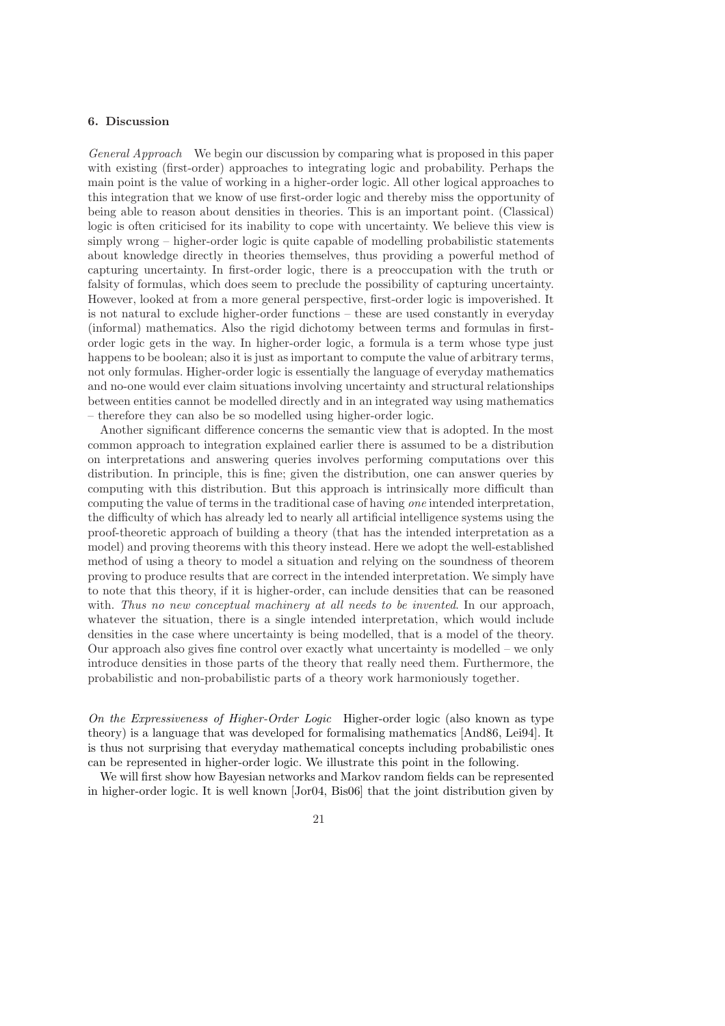## 6. Discussion

General Approach We begin our discussion by comparing what is proposed in this paper with existing (first-order) approaches to integrating logic and probability. Perhaps the main point is the value of working in a higher-order logic. All other logical approaches to this integration that we know of use first-order logic and thereby miss the opportunity of being able to reason about densities in theories. This is an important point. (Classical) logic is often criticised for its inability to cope with uncertainty. We believe this view is simply wrong – higher-order logic is quite capable of modelling probabilistic statements about knowledge directly in theories themselves, thus providing a powerful method of capturing uncertainty. In first-order logic, there is a preoccupation with the truth or falsity of formulas, which does seem to preclude the possibility of capturing uncertainty. However, looked at from a more general perspective, first-order logic is impoverished. It is not natural to exclude higher-order functions – these are used constantly in everyday (informal) mathematics. Also the rigid dichotomy between terms and formulas in firstorder logic gets in the way. In higher-order logic, a formula is a term whose type just happens to be boolean; also it is just as important to compute the value of arbitrary terms, not only formulas. Higher-order logic is essentially the language of everyday mathematics and no-one would ever claim situations involving uncertainty and structural relationships between entities cannot be modelled directly and in an integrated way using mathematics – therefore they can also be so modelled using higher-order logic.

Another significant difference concerns the semantic view that is adopted. In the most common approach to integration explained earlier there is assumed to be a distribution on interpretations and answering queries involves performing computations over this distribution. In principle, this is fine; given the distribution, one can answer queries by computing with this distribution. But this approach is intrinsically more difficult than computing the value of terms in the traditional case of having one intended interpretation, the difficulty of which has already led to nearly all artificial intelligence systems using the proof-theoretic approach of building a theory (that has the intended interpretation as a model) and proving theorems with this theory instead. Here we adopt the well-established method of using a theory to model a situation and relying on the soundness of theorem proving to produce results that are correct in the intended interpretation. We simply have to note that this theory, if it is higher-order, can include densities that can be reasoned with. Thus no new conceptual machinery at all needs to be invented. In our approach, whatever the situation, there is a single intended interpretation, which would include densities in the case where uncertainty is being modelled, that is a model of the theory. Our approach also gives fine control over exactly what uncertainty is modelled – we only introduce densities in those parts of the theory that really need them. Furthermore, the probabilistic and non-probabilistic parts of a theory work harmoniously together.

On the Expressiveness of Higher-Order Logic Higher-order logic (also known as type theory) is a language that was developed for formalising mathematics [And86, Lei94]. It is thus not surprising that everyday mathematical concepts including probabilistic ones can be represented in higher-order logic. We illustrate this point in the following.

We will first show how Bayesian networks and Markov random fields can be represented in higher-order logic. It is well known [Jor04, Bis06] that the joint distribution given by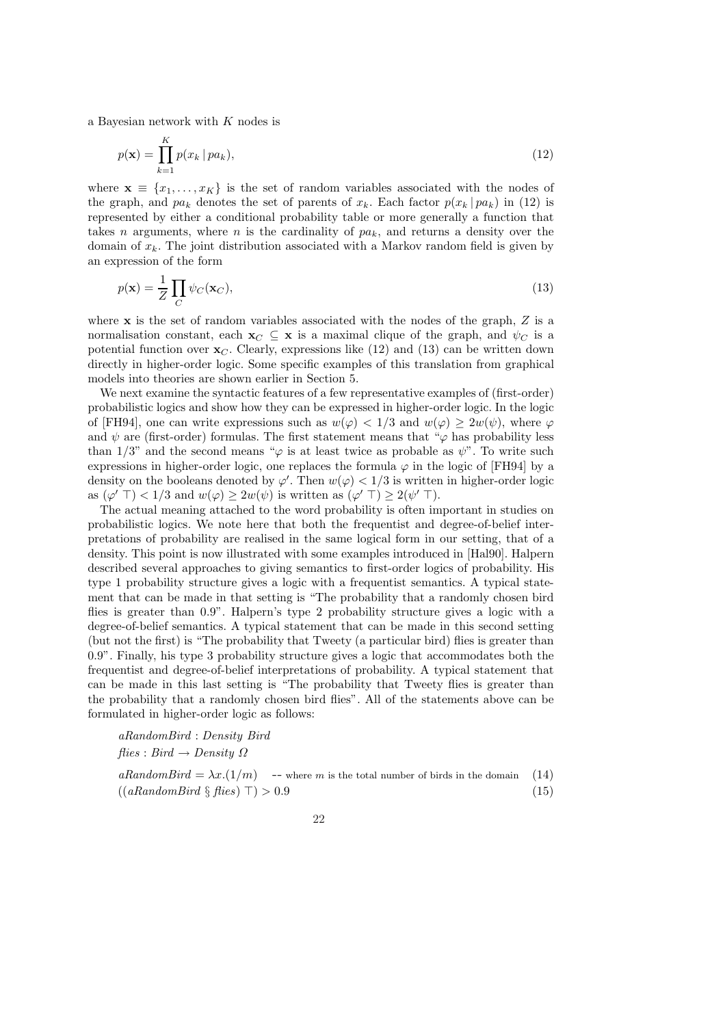a Bayesian network with K nodes is

$$
p(\mathbf{x}) = \prod_{k=1}^{K} p(x_k | pa_k),
$$
\n(12)

where  $\mathbf{x} \equiv \{x_1, \ldots, x_K\}$  is the set of random variables associated with the nodes of the graph, and  $pa_k$  denotes the set of parents of  $x_k$ . Each factor  $p(x_k | pa_k)$  in (12) is represented by either a conditional probability table or more generally a function that takes n arguments, where n is the cardinality of  $pa_k$ , and returns a density over the domain of  $x_k$ . The joint distribution associated with a Markov random field is given by an expression of the form

$$
p(\mathbf{x}) = \frac{1}{Z} \prod_{C} \psi_C(\mathbf{x}_C),\tag{13}
$$

where  $x$  is the set of random variables associated with the nodes of the graph,  $Z$  is a normalisation constant, each  $\mathbf{x}_C \subseteq \mathbf{x}$  is a maximal clique of the graph, and  $\psi_C$  is a potential function over  $x_C$ . Clearly, expressions like (12) and (13) can be written down directly in higher-order logic. Some specific examples of this translation from graphical models into theories are shown earlier in Section 5.

We next examine the syntactic features of a few representative examples of (first-order) probabilistic logics and show how they can be expressed in higher-order logic. In the logic of [FH94], one can write expressions such as  $w(\varphi) < 1/3$  and  $w(\varphi) \geq 2w(\psi)$ , where  $\varphi$ and  $\psi$  are (first-order) formulas. The first statement means that " $\varphi$  has probability less than 1/3" and the second means " $\varphi$  is at least twice as probable as  $\psi$ ". To write such expressions in higher-order logic, one replaces the formula  $\varphi$  in the logic of [FH94] by a density on the booleans denoted by  $\varphi'$ . Then  $w(\varphi) < 1/3$  is written in higher-order logic as  $(\varphi' \top) < 1/3$  and  $w(\varphi) \ge 2w(\psi)$  is written as  $(\varphi' \top) \ge 2(\psi' \top)$ .

The actual meaning attached to the word probability is often important in studies on probabilistic logics. We note here that both the frequentist and degree-of-belief interpretations of probability are realised in the same logical form in our setting, that of a density. This point is now illustrated with some examples introduced in [Hal90]. Halpern described several approaches to giving semantics to first-order logics of probability. His type 1 probability structure gives a logic with a frequentist semantics. A typical statement that can be made in that setting is "The probability that a randomly chosen bird flies is greater than 0.9". Halpern's type 2 probability structure gives a logic with a degree-of-belief semantics. A typical statement that can be made in this second setting (but not the first) is "The probability that Tweety (a particular bird) flies is greater than 0.9". Finally, his type 3 probability structure gives a logic that accommodates both the frequentist and degree-of-belief interpretations of probability. A typical statement that can be made in this last setting is "The probability that Tweety flies is greater than the probability that a randomly chosen bird flies". All of the statements above can be formulated in higher-order logic as follows:

$$
aRandomBird : Density Bird
$$
  
flies : Bird → Density Ω  

$$
aRandomBird = \lambda x.(1/m) \quad --
$$
 where *m* is the total number of birds in the domain (14)  
((*aRandomBird* § flies) T) > 0.9 (15)

22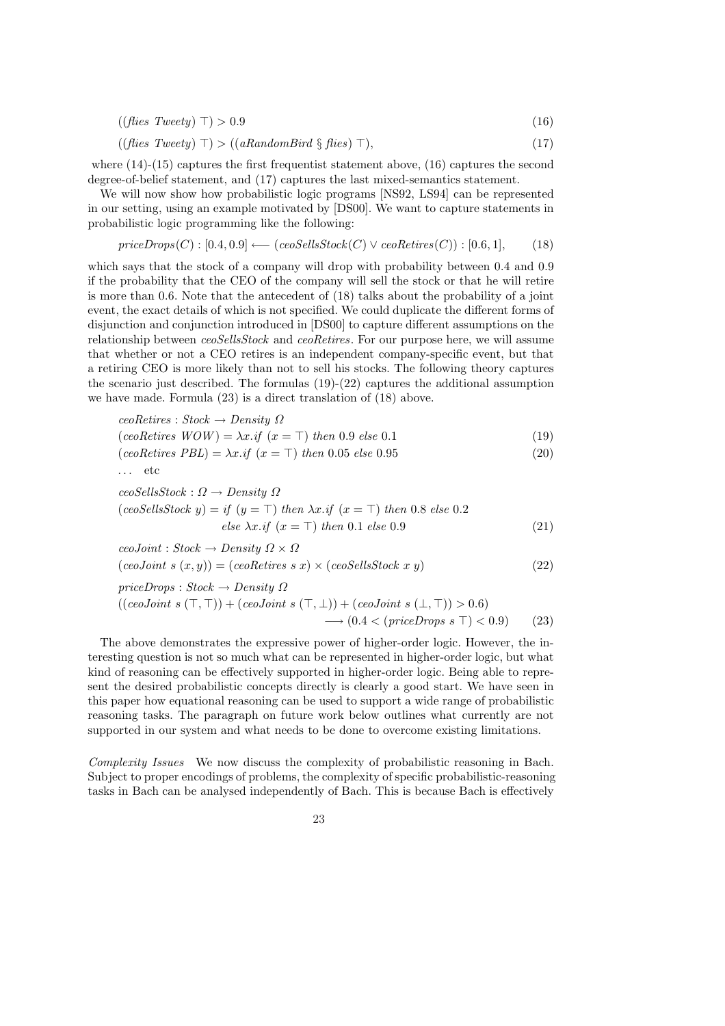$$
((\text{flies } \textit{Tweety}) \top) > 0.9 \tag{16}
$$

$$
((flies \; Tweety) \; \top) > ((aRandomBird \; \S \; flies) \; \top), \tag{17}
$$

where  $(14)-(15)$  captures the first frequentist statement above,  $(16)$  captures the second degree-of-belief statement, and (17) captures the last mixed-semantics statement.

We will now show how probabilistic logic programs [NS92, LS94] can be represented in our setting, using an example motivated by [DS00]. We want to capture statements in probabilistic logic programming like the following:

$$
priceDrops(C): [0.4, 0.9] \longleftarrow (ceoSellsStock(C) \vee ceoRetires(C)): [0.6, 1], \qquad (18)
$$

which says that the stock of a company will drop with probability between 0.4 and 0.9 if the probability that the CEO of the company will sell the stock or that he will retire is more than 0.6. Note that the antecedent of (18) talks about the probability of a joint event, the exact details of which is not specified. We could duplicate the different forms of disjunction and conjunction introduced in [DS00] to capture different assumptions on the relationship between *ceoSellsStock* and *ceoRetires*. For our purpose here, we will assume that whether or not a CEO retires is an independent company-specific event, but that a retiring CEO is more likely than not to sell his stocks. The following theory captures the scenario just described. The formulas (19)-(22) captures the additional assumption we have made. Formula (23) is a direct translation of (18) above.

$$
ceoRetires: Stock \rightarrow Density \; \Omega
$$

$$
(ceoRetires\ WOW) = \lambda x. if\ (x = \top) \ then\ 0.9 \ else\ 0.1 \tag{19}
$$

$$
(coRetires PBL) = \lambda x. \text{if } (x = \top) \text{ then } 0.05 \text{ else } 0.95 \tag{20}
$$

$$
ceoSellsStock: \Omega \to Density \Omega
$$
  
(ceoSellsStock  $y$ ) = if  $(y = \top)$  then  $\lambda x$ .if  $(x = \top)$  then 0.8 else 0.2

 $a$ <sup>tc</sup>

$$
else \lambda x.if (x = \top) then 0.1 else 0.9 \tag{21}
$$

$$
ceoJoint: Stock \rightarrow Density \Omega \times \Omega
$$
  
(ceoJoint s (x, y)) = (ceoRetires s x) \times (ceoSellsStock x y) (22)  
price Drons: Stock \rightarrow Densitu O

$$
((ceoloint s (T, T)) + (ceoloint s (T, \bot)) + (ceoloint s (\bot, T)) > 0.6)
$$
  

$$
\longrightarrow (0.4 < (priceDrops s T) < 0.9)
$$
 (23)

The above demonstrates the expressive power of higher-order logic. However, the interesting question is not so much what can be represented in higher-order logic, but what kind of reasoning can be effectively supported in higher-order logic. Being able to represent the desired probabilistic concepts directly is clearly a good start. We have seen in this paper how equational reasoning can be used to support a wide range of probabilistic reasoning tasks. The paragraph on future work below outlines what currently are not supported in our system and what needs to be done to overcome existing limitations.

Complexity Issues We now discuss the complexity of probabilistic reasoning in Bach. Subject to proper encodings of problems, the complexity of specific probabilistic-reasoning tasks in Bach can be analysed independently of Bach. This is because Bach is effectively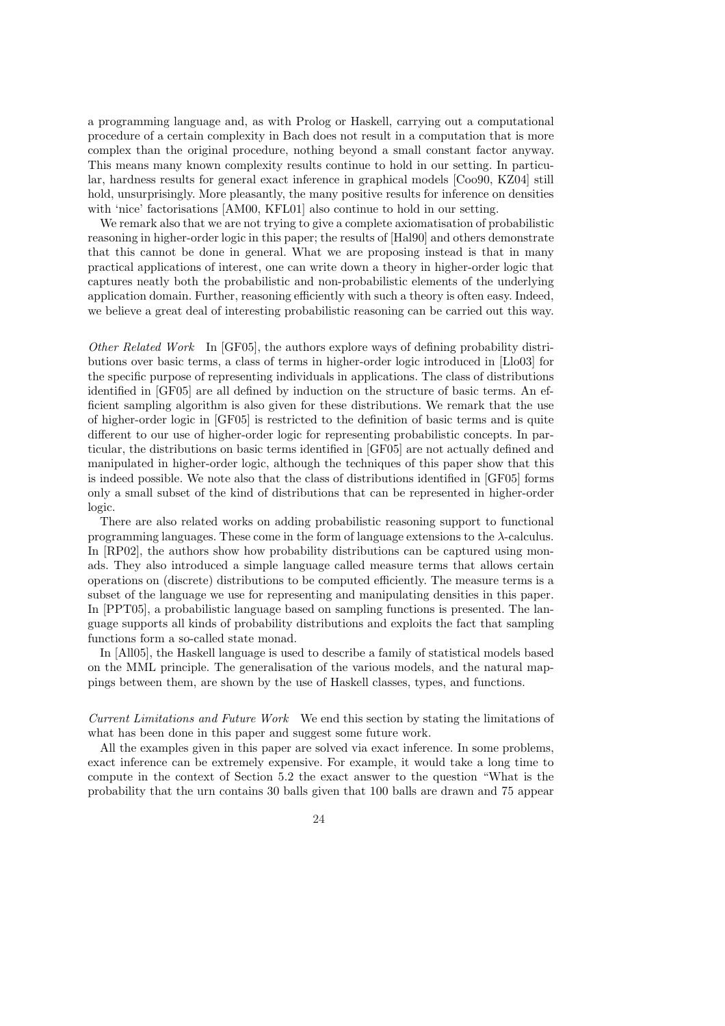a programming language and, as with Prolog or Haskell, carrying out a computational procedure of a certain complexity in Bach does not result in a computation that is more complex than the original procedure, nothing beyond a small constant factor anyway. This means many known complexity results continue to hold in our setting. In particular, hardness results for general exact inference in graphical models [Coo90, KZ04] still hold, unsurprisingly. More pleasantly, the many positive results for inference on densities with 'nice' factorisations [AM00, KFL01] also continue to hold in our setting.

We remark also that we are not trying to give a complete axiomatisation of probabilistic reasoning in higher-order logic in this paper; the results of [Hal90] and others demonstrate that this cannot be done in general. What we are proposing instead is that in many practical applications of interest, one can write down a theory in higher-order logic that captures neatly both the probabilistic and non-probabilistic elements of the underlying application domain. Further, reasoning efficiently with such a theory is often easy. Indeed, we believe a great deal of interesting probabilistic reasoning can be carried out this way.

Other Related Work In [GF05], the authors explore ways of defining probability distributions over basic terms, a class of terms in higher-order logic introduced in [Llo03] for the specific purpose of representing individuals in applications. The class of distributions identified in [GF05] are all defined by induction on the structure of basic terms. An efficient sampling algorithm is also given for these distributions. We remark that the use of higher-order logic in [GF05] is restricted to the definition of basic terms and is quite different to our use of higher-order logic for representing probabilistic concepts. In particular, the distributions on basic terms identified in [GF05] are not actually defined and manipulated in higher-order logic, although the techniques of this paper show that this is indeed possible. We note also that the class of distributions identified in [GF05] forms only a small subset of the kind of distributions that can be represented in higher-order logic.

There are also related works on adding probabilistic reasoning support to functional programming languages. These come in the form of language extensions to the  $\lambda$ -calculus. In [RP02], the authors show how probability distributions can be captured using monads. They also introduced a simple language called measure terms that allows certain operations on (discrete) distributions to be computed efficiently. The measure terms is a subset of the language we use for representing and manipulating densities in this paper. In [PPT05], a probabilistic language based on sampling functions is presented. The language supports all kinds of probability distributions and exploits the fact that sampling functions form a so-called state monad.

In [All05], the Haskell language is used to describe a family of statistical models based on the MML principle. The generalisation of the various models, and the natural mappings between them, are shown by the use of Haskell classes, types, and functions.

Current Limitations and Future Work We end this section by stating the limitations of what has been done in this paper and suggest some future work.

All the examples given in this paper are solved via exact inference. In some problems, exact inference can be extremely expensive. For example, it would take a long time to compute in the context of Section 5.2 the exact answer to the question "What is the probability that the urn contains 30 balls given that 100 balls are drawn and 75 appear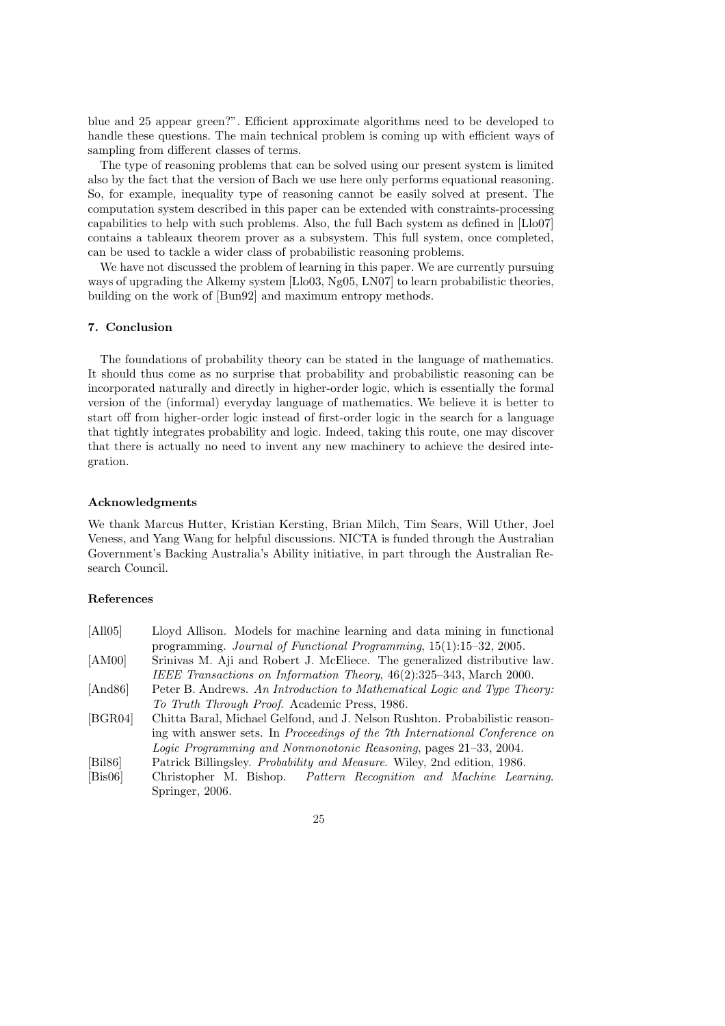blue and 25 appear green?". Efficient approximate algorithms need to be developed to handle these questions. The main technical problem is coming up with efficient ways of sampling from different classes of terms.

The type of reasoning problems that can be solved using our present system is limited also by the fact that the version of Bach we use here only performs equational reasoning. So, for example, inequality type of reasoning cannot be easily solved at present. The computation system described in this paper can be extended with constraints-processing capabilities to help with such problems. Also, the full Bach system as defined in [Llo07] contains a tableaux theorem prover as a subsystem. This full system, once completed, can be used to tackle a wider class of probabilistic reasoning problems.

We have not discussed the problem of learning in this paper. We are currently pursuing ways of upgrading the Alkemy system [Llo03, Ng05, LN07] to learn probabilistic theories, building on the work of [Bun92] and maximum entropy methods.

# 7. Conclusion

The foundations of probability theory can be stated in the language of mathematics. It should thus come as no surprise that probability and probabilistic reasoning can be incorporated naturally and directly in higher-order logic, which is essentially the formal version of the (informal) everyday language of mathematics. We believe it is better to start off from higher-order logic instead of first-order logic in the search for a language that tightly integrates probability and logic. Indeed, taking this route, one may discover that there is actually no need to invent any new machinery to achieve the desired integration.

#### Acknowledgments

We thank Marcus Hutter, Kristian Kersting, Brian Milch, Tim Sears, Will Uther, Joel Veness, and Yang Wang for helpful discussions. NICTA is funded through the Australian Government's Backing Australia's Ability initiative, in part through the Australian Research Council.

# References

| [A1105] | Lloyd Allison. Models for machine learning and data mining in functional    |
|---------|-----------------------------------------------------------------------------|
|         | programming. Journal of Functional Programming, $15(1):15-32$ , $2005$ .    |
| [AM00]  | Srinivas M. Aji and Robert J. McEliece. The generalized distributive law.   |
|         | IEEE Transactions on Information Theory, 46(2):325-343, March 2000.         |
| [And86] | Peter B. Andrews. An Introduction to Mathematical Logic and Type Theory:    |
|         | To Truth Through Proof. Academic Press, 1986.                               |
| [BGR04] | Chitta Baral, Michael Gelfond, and J. Nelson Rushton. Probabilistic reason- |
|         | ing with answer sets. In Proceedings of the 7th International Conference on |
|         | Logic Programming and Nonmonotonic Reasoning, pages 21–33, 2004.            |
| [Bil86] | Patrick Billingsley. Probability and Measure. Wiley, 2nd edition, 1986.     |
| [Bis06] | Christopher M. Bishop. Pattern Recognition and Machine Learning.            |
|         | Springer, 2006.                                                             |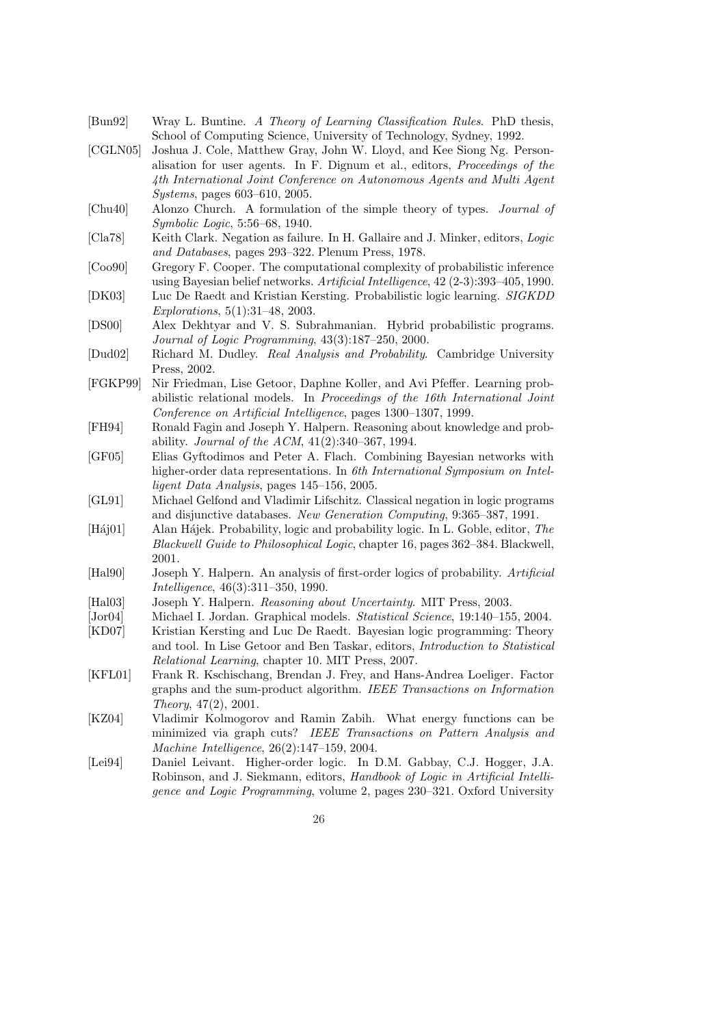- [Bun92] Wray L. Buntine. A Theory of Learning Classification Rules. PhD thesis, School of Computing Science, University of Technology, Sydney, 1992.
- [CGLN05] Joshua J. Cole, Matthew Gray, John W. Lloyd, and Kee Siong Ng. Personalisation for user agents. In F. Dignum et al., editors, Proceedings of the 4th International Joint Conference on Autonomous Agents and Multi Agent Systems, pages 603–610, 2005.
- [Chu40] Alonzo Church. A formulation of the simple theory of types. Journal of Symbolic Logic, 5:56–68, 1940.
- [Cla78] Keith Clark. Negation as failure. In H. Gallaire and J. Minker, editors, Logic and Databases, pages 293–322. Plenum Press, 1978.
- [Coo90] Gregory F. Cooper. The computational complexity of probabilistic inference using Bayesian belief networks. Artificial Intelligence, 42 (2-3):393–405, 1990.
- [DK03] Luc De Raedt and Kristian Kersting. Probabilistic logic learning. SIGKDD Explorations, 5(1):31–48, 2003.
- [DS00] Alex Dekhtyar and V. S. Subrahmanian. Hybrid probabilistic programs. Journal of Logic Programming, 43(3):187–250, 2000.
- [Dud02] Richard M. Dudley. Real Analysis and Probability. Cambridge University Press, 2002.
- [FGKP99] Nir Friedman, Lise Getoor, Daphne Koller, and Avi Pfeffer. Learning probabilistic relational models. In Proceedings of the 16th International Joint Conference on Artificial Intelligence, pages 1300–1307, 1999.
- [FH94] Ronald Fagin and Joseph Y. Halpern. Reasoning about knowledge and probability. *Journal of the ACM*,  $41(2):340-367$ , 1994.
- [GF05] Elias Gyftodimos and Peter A. Flach. Combining Bayesian networks with higher-order data representations. In 6th International Symposium on Intelligent Data Analysis, pages 145–156, 2005.
- [GL91] Michael Gelfond and Vladimir Lifschitz. Classical negation in logic programs and disjunctive databases. New Generation Computing, 9:365–387, 1991.
- [Haj01] Alan Hájek. Probability, logic and probability logic. In L. Goble, editor, The Blackwell Guide to Philosophical Logic, chapter 16, pages 362–384. Blackwell, 2001.
- [Hal90] Joseph Y. Halpern. An analysis of first-order logics of probability. Artificial Intelligence, 46(3):311–350, 1990.
- [Hal03] Joseph Y. Halpern. Reasoning about Uncertainty. MIT Press, 2003.
- [Jor04] Michael I. Jordan. Graphical models. Statistical Science, 19:140–155, 2004.
- [KD07] Kristian Kersting and Luc De Raedt. Bayesian logic programming: Theory and tool. In Lise Getoor and Ben Taskar, editors, Introduction to Statistical Relational Learning, chapter 10. MIT Press, 2007.
- [KFL01] Frank R. Kschischang, Brendan J. Frey, and Hans-Andrea Loeliger. Factor graphs and the sum-product algorithm. IEEE Transactions on Information Theory, 47(2), 2001.
- [KZ04] Vladimir Kolmogorov and Ramin Zabih. What energy functions can be minimized via graph cuts? IEEE Transactions on Pattern Analysis and Machine Intelligence, 26(2):147–159, 2004.
- [Lei94] Daniel Leivant. Higher-order logic. In D.M. Gabbay, C.J. Hogger, J.A. Robinson, and J. Siekmann, editors, Handbook of Logic in Artificial Intelligence and Logic Programming, volume 2, pages 230–321. Oxford University
	- 26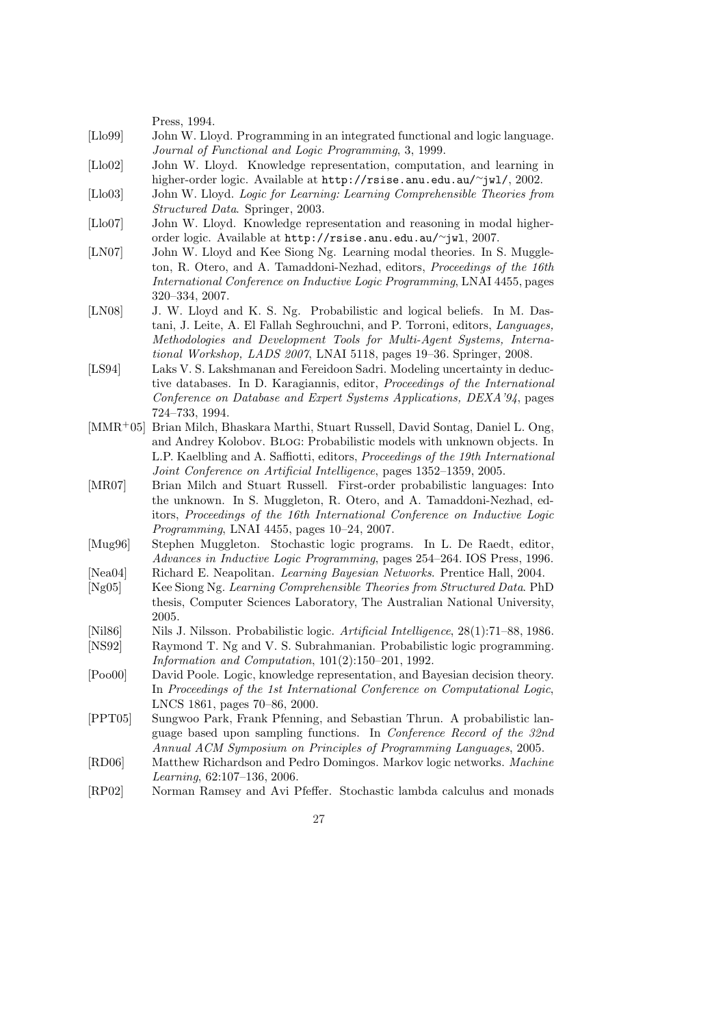Press, 1994.

- [Llo99] John W. Lloyd. Programming in an integrated functional and logic language. Journal of Functional and Logic Programming, 3, 1999.
- [Llo02] John W. Lloyd. Knowledge representation, computation, and learning in higher-order logic. Available at http://rsise.anu.edu.au/<sup>∼</sup>jwl/, 2002.
- [Llo03] John W. Lloyd. Logic for Learning: Learning Comprehensible Theories from Structured Data. Springer, 2003.
- [Llo07] John W. Lloyd. Knowledge representation and reasoning in modal higherorder logic. Available at http://rsise.anu.edu.au/<sup>∼</sup>jwl, 2007.
- [LN07] John W. Lloyd and Kee Siong Ng. Learning modal theories. In S. Muggleton, R. Otero, and A. Tamaddoni-Nezhad, editors, Proceedings of the 16th International Conference on Inductive Logic Programming, LNAI 4455, pages 320–334, 2007.
- [LN08] J. W. Lloyd and K. S. Ng. Probabilistic and logical beliefs. In M. Dastani, J. Leite, A. El Fallah Seghrouchni, and P. Torroni, editors, Languages, Methodologies and Development Tools for Multi-Agent Systems, International Workshop, LADS 2007, LNAI 5118, pages 19–36. Springer, 2008.
- [LS94] Laks V. S. Lakshmanan and Fereidoon Sadri. Modeling uncertainty in deductive databases. In D. Karagiannis, editor, Proceedings of the International Conference on Database and Expert Systems Applications, DEXA'94, pages 724–733, 1994.
- [MMR<sup>+</sup>05] Brian Milch, Bhaskara Marthi, Stuart Russell, David Sontag, Daniel L. Ong, and Andrey Kolobov. Blog: Probabilistic models with unknown objects. In L.P. Kaelbling and A. Saffiotti, editors, Proceedings of the 19th International Joint Conference on Artificial Intelligence, pages 1352–1359, 2005.
- [MR07] Brian Milch and Stuart Russell. First-order probabilistic languages: Into the unknown. In S. Muggleton, R. Otero, and A. Tamaddoni-Nezhad, editors, Proceedings of the 16th International Conference on Inductive Logic Programming, LNAI 4455, pages 10–24, 2007.
- [Mug96] Stephen Muggleton. Stochastic logic programs. In L. De Raedt, editor, Advances in Inductive Logic Programming, pages 254–264. IOS Press, 1996. [Nea04] Richard E. Neapolitan. Learning Bayesian Networks. Prentice Hall, 2004.
- [Ng05] Kee Siong Ng. Learning Comprehensible Theories from Structured Data. PhD thesis, Computer Sciences Laboratory, The Australian National University, 2005.
- [Nil86] Nils J. Nilsson. Probabilistic logic. Artificial Intelligence, 28(1):71–88, 1986.
- [NS92] Raymond T. Ng and V. S. Subrahmanian. Probabilistic logic programming. Information and Computation, 101(2):150–201, 1992.
- [Poo00] David Poole. Logic, knowledge representation, and Bayesian decision theory. In Proceedings of the 1st International Conference on Computational Logic, LNCS 1861, pages 70–86, 2000.
- [PPT05] Sungwoo Park, Frank Pfenning, and Sebastian Thrun. A probabilistic language based upon sampling functions. In Conference Record of the 32nd Annual ACM Symposium on Principles of Programming Languages, 2005.
- [RD06] Matthew Richardson and Pedro Domingos. Markov logic networks. Machine Learning, 62:107–136, 2006.
- [RP02] Norman Ramsey and Avi Pfeffer. Stochastic lambda calculus and monads